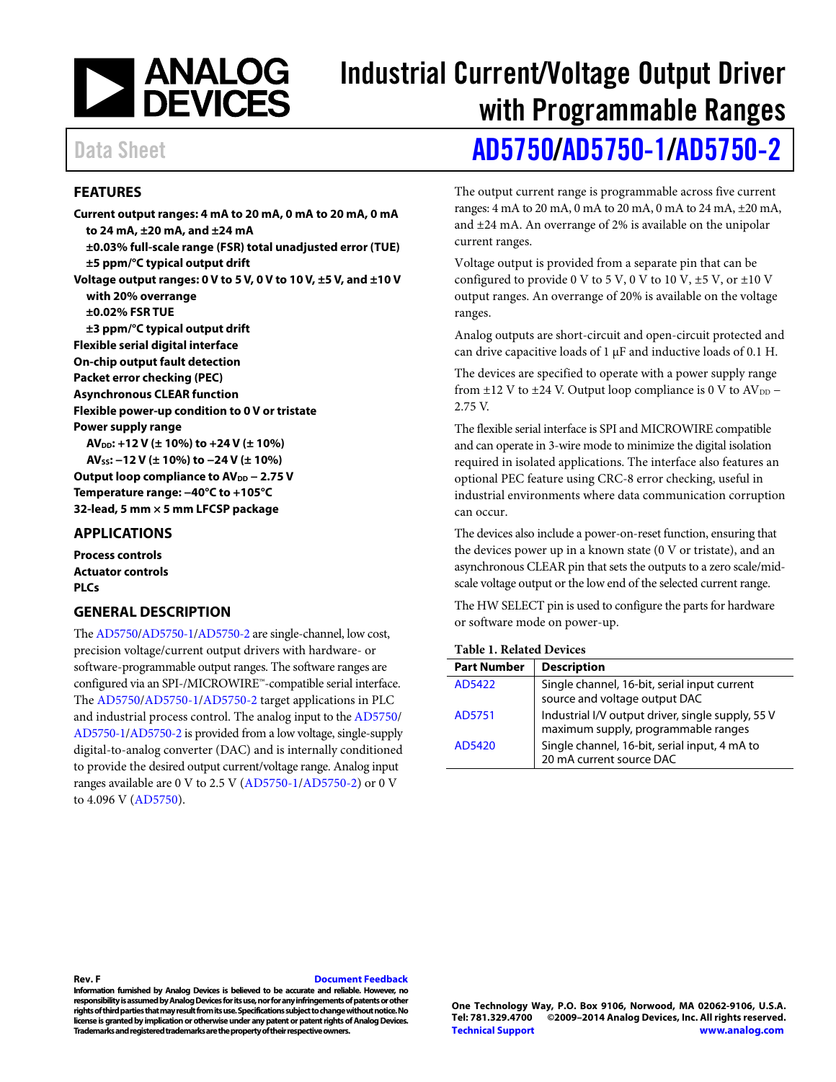

# Industrial Current/Voltage Output Driver with Programmable Ranges

## Data Sheet **[AD5750/](http://www.analog.com/AD5750?doc=AD5750_5750-1_5750-2.pdf)[AD5750-1](http://www.analog.com/AD5750-1?doc=AD5750_5750-1_5750-2.pdf)[/AD5750-2](http://www.analog.com/AD5750-2?doc=AD5750_5750-1_5750-2.pdf)**

#### <span id="page-0-0"></span>**FEATURES**

**Current output ranges: 4 mA to 20 mA, 0 mA to 20 mA, 0 mA to 24 mA, ±20 mA, and ±24 mA ±0.03% full-scale range (FSR) total unadjusted error (TUE) ±5 ppm/°C typical output drift Voltage output ranges: 0 V to 5 V, 0 V to 10 V, ±5 V, and ±10 V with 20% overrange ±0.02% FSR TUE ±3 ppm/°C typical output drift Flexible serial digital interface On-chip output fault detection Packet error checking (PEC) Asynchronous CLEAR function Flexible power-up condition to 0 V or tristate Power supply range AVDD: +12 V (± 10%) to +24 V (± 10%) AVSS: −12 V (± 10%) to −24 V (± 10%)** Output loop compliance to AV<sub>DD</sub> − 2.75 V **Temperature range: −40°C to +105°C**

**32-lead, 5 mm × 5 mm LFCSP package**

#### <span id="page-0-1"></span>**APPLICATIONS**

**Process controls Actuator controls PLCs**

#### <span id="page-0-2"></span>**GENERAL DESCRIPTION**

Th[e AD5750/](http://www.analog.com/AD5750?doc=AD5750_5750-1_5750-2.pdf)[AD5750-1](http://www.analog.com/AD5750-1?doc=AD5750_5750-1_5750-2.pdf)[/AD5750-2](http://www.analog.com/AD5750-2?doc=AD5750_5750-1_5750-2.pdf) are single-channel, low cost, precision voltage/current output drivers with hardware- or software-programmable output ranges. The software ranges are configured via an SPI-/MICROWIRE™-compatible serial interface. The [AD5750/](http://www.analog.com/AD5750?doc=AD5750_5750-1_5750-2.pdf)[AD5750-1/](http://www.analog.com/AD5750-1?doc=AD5750_5750-1_5750-2.pdf)[AD5750-2](http://www.analog.com/AD5750-2?doc=AD5750_5750-1_5750-2.pdf) target applications in PLC and industrial process control. The analog input to th[e AD5750/](http://www.analog.com/AD5750?doc=AD5750_5750-1_5750-2.pdf) [AD5750-1](http://www.analog.com/AD5750-1?doc=AD5750_5750-1_5750-2.pdf)[/AD5750-2](http://www.analog.com/AD5750-2?doc=AD5750_5750-1_5750-2.pdf) is provided from a low voltage, single-supply digital-to-analog converter (DAC) and is internally conditioned to provide the desired output current/voltage range. Analog input ranges available are 0 V to 2.5 V [\(AD5750-1/](http://www.analog.com/AD5750-1?doc=AD5750_5750-1_5750-2.pdf)[AD5750-2\)](http://www.analog.com/AD5750-2?doc=AD5750_5750-1_5750-2.pdf) or 0 V to 4.096 V [\(AD5750\)](http://www.analog.com/AD5750?doc=AD5750_5750-1_5750-2.pdf).

The output current range is programmable across five current ranges: 4 mA to 20 mA, 0 mA to 20 mA, 0 mA to 24 mA, ±20 mA, and ±24 mA. An overrange of 2% is available on the unipolar current ranges.

Voltage output is provided from a separate pin that can be configured to provide 0 V to 5 V, 0 V to 10 V,  $\pm$  5 V, or  $\pm$  10 V output ranges. An overrange of 20% is available on the voltage ranges.

Analog outputs are short-circuit and open-circuit protected and can drive capacitive loads of  $1 \mu$ F and inductive loads of 0.1 H.

The devices are specified to operate with a power supply range from  $\pm$ 12 V to  $\pm$ 24 V. Output loop compliance is 0 V to AV<sub>DD</sub> – 2.75 V.

The flexible serial interface is SPI and MICROWIRE compatible and can operate in 3-wire mode to minimize the digital isolation required in isolated applications. The interface also features an optional PEC feature using CRC-8 error checking, useful in industrial environments where data communication corruption can occur.

The devices also include a power-on-reset function, ensuring that the devices power up in a known state (0 V or tristate), and an asynchronous CLEAR pin that sets the outputs to a zero scale/midscale voltage output or the low end of the selected current range.

The HW SELECT pin is used to configure the parts for hardware or software mode on power-up.

#### **Table 1. Related Devices**

| $\mathbf{1}$ . The decided to the $\mathbf{0}$ |                                                                                          |  |  |  |  |
|------------------------------------------------|------------------------------------------------------------------------------------------|--|--|--|--|
| <b>Part Number</b>                             | <b>Description</b>                                                                       |  |  |  |  |
| AD5422                                         | Single channel, 16-bit, serial input current<br>source and voltage output DAC            |  |  |  |  |
| AD5751                                         | Industrial I/V output driver, single supply, 55 V<br>maximum supply, programmable ranges |  |  |  |  |
| AD5420                                         | Single channel, 16-bit, serial input, 4 mA to<br>20 mA current source DAC                |  |  |  |  |

#### **Rev. F [Document Feedback](https://form.analog.com/Form_Pages/feedback/documentfeedback.aspx?doc=AD5750_5750-1_5750-2.pdf&product=AD5750%20AD5750-1%20AD5750-2&rev=F)**

**Information furnished by Analog Devices is believed to be accurate and reliable. However, no responsibility is assumed by Analog Devices for its use, nor for any infringements of patents or other rights of third parties that may result from its use. Specifications subject to change without notice. No license is granted by implication or otherwise under any patent or patent rights of Analog Devices. Trademarks and registered trademarks are the property of their respective owners.**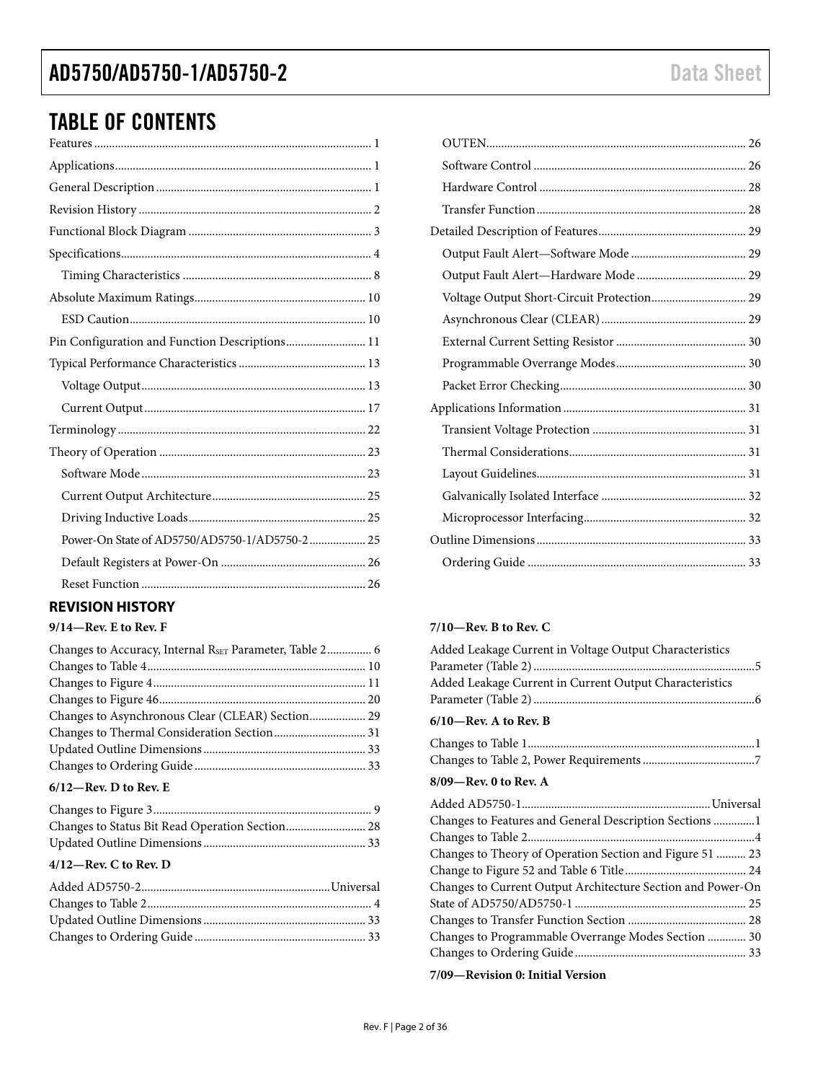### TABLE OF CONTENTS

| Pin Configuration and Function Descriptions 11 |
|------------------------------------------------|
|                                                |
|                                                |
|                                                |
|                                                |
|                                                |
|                                                |
|                                                |
|                                                |
| Power-On State of AD5750/AD5750-1/AD5750-2 25  |
|                                                |
|                                                |
|                                                |

### <span id="page-1-0"></span>**REVISION HISTORY**

#### **9/14—Rev. E to Rev. F**

| Changes to Accuracy, Internal RSET Parameter, Table 2 6 |  |
|---------------------------------------------------------|--|
|                                                         |  |
|                                                         |  |
|                                                         |  |
| Changes to Asynchronous Clear (CLEAR) Section 29        |  |
|                                                         |  |
|                                                         |  |
|                                                         |  |
|                                                         |  |

#### **6/12—Rev. D to Rev. E**

#### **4/12—Rev. C to Rev. D**

#### **7/10—Rev. B to Rev. C**

| Added Leakage Current in Voltage Output Characteristics     |  |
|-------------------------------------------------------------|--|
|                                                             |  |
| Added Leakage Current in Current Output Characteristics     |  |
|                                                             |  |
|                                                             |  |
| $6/10$ —Rev. A to Rev. B                                    |  |
|                                                             |  |
|                                                             |  |
|                                                             |  |
| $8/09$ —Rev. 0 to Rev. A                                    |  |
|                                                             |  |
| Changes to Features and General Description Sections 1      |  |
|                                                             |  |
| Changes to Theory of Operation Section and Figure 51  23    |  |
|                                                             |  |
|                                                             |  |
| Changes to Current Output Architecture Section and Power-On |  |
|                                                             |  |
|                                                             |  |
| Changes to Programmable Overrange Modes Section  30         |  |
|                                                             |  |

**7/09—Revision 0: Initial Version**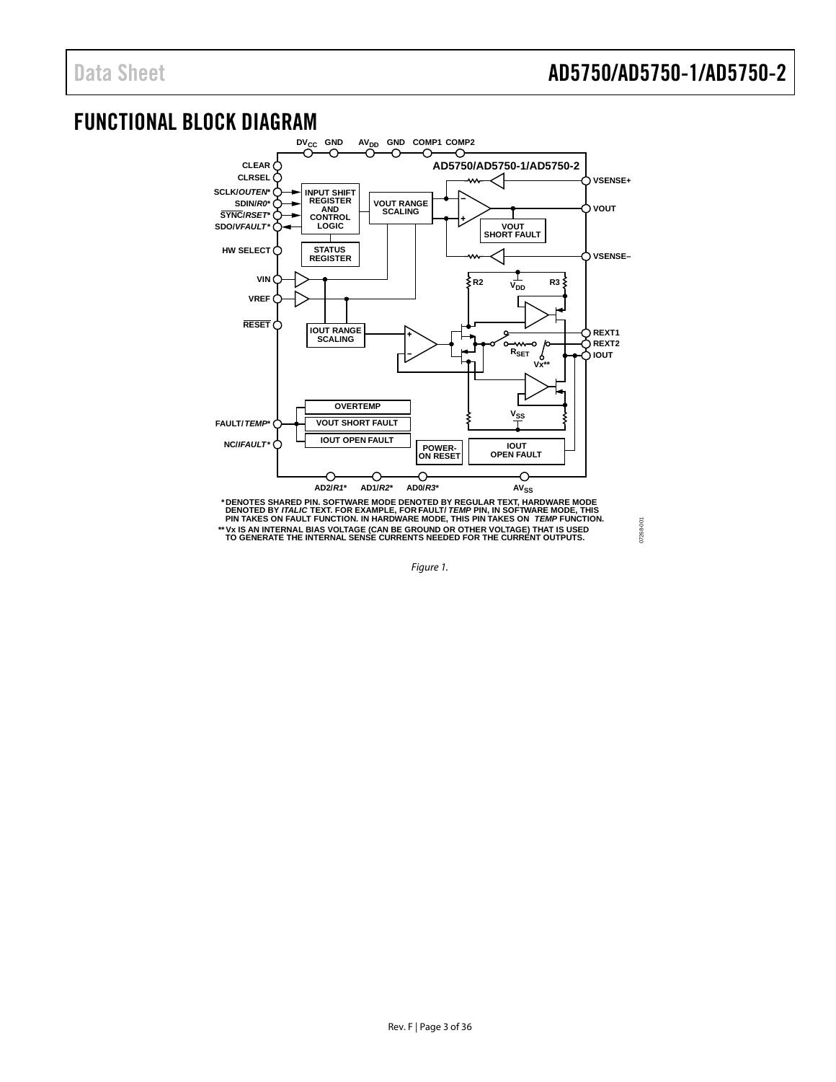07268-001

# <span id="page-2-0"></span>FUNCTIONAL BLOCK DIAGRAM<br>COLORATION CONDENSION



<span id="page-2-1"></span>*Figure 1.*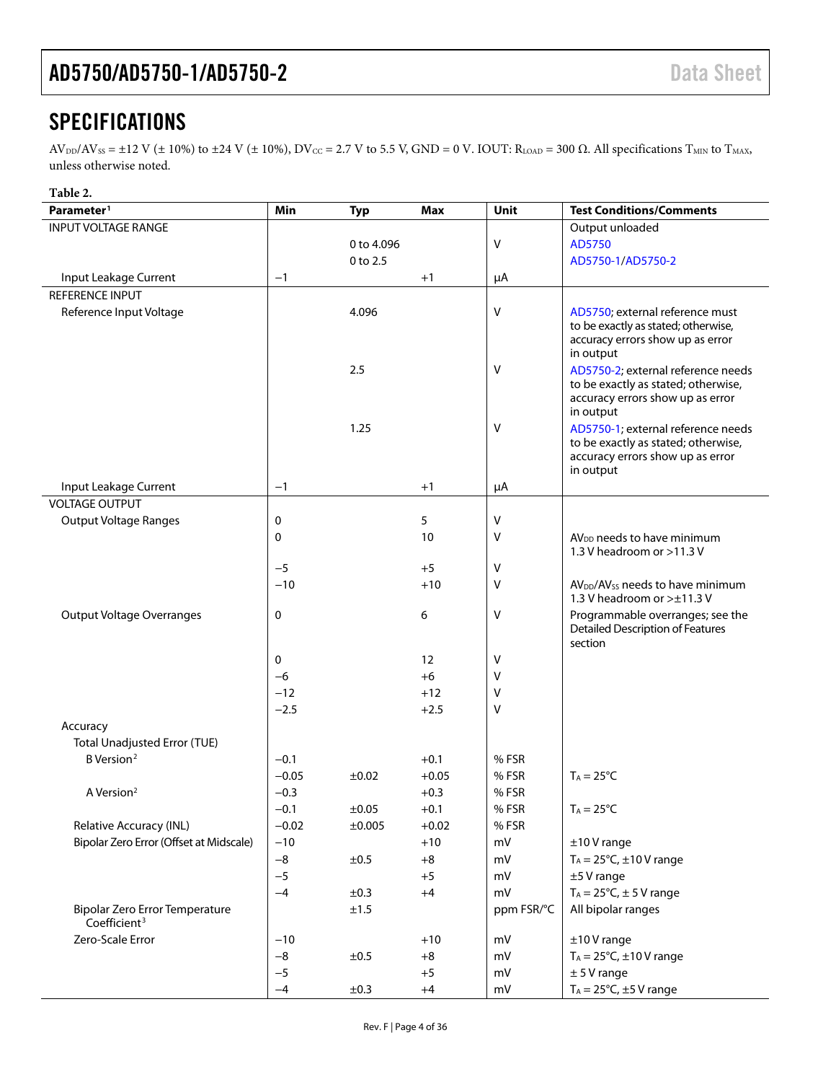### <span id="page-3-0"></span>**SPECIFICATIONS**

 $AV_{DD}/AV_{SS} = \pm 12$  V ( $\pm$  10%) to  $\pm 24$  V ( $\pm$  10%), DV<sub>CC</sub> = 2.7 V to 5.5 V, GND = 0 V. IOUT: R<sub>LOAD</sub> = 300  $\Omega$ . All specifications T<sub>MIN</sub> to T<sub>MAX</sub>, unless otherwise noted.

#### **Table 2.**

| Parameter <sup>1</sup>                                     | Min     | <b>Typ</b> | Max     | Unit       | <b>Test Conditions/Comments</b>                                                                                            |
|------------------------------------------------------------|---------|------------|---------|------------|----------------------------------------------------------------------------------------------------------------------------|
| <b>INPUT VOLTAGE RANGE</b>                                 |         |            |         |            | Output unloaded                                                                                                            |
|                                                            |         | 0 to 4.096 |         | V          | AD5750                                                                                                                     |
|                                                            |         | 0 to 2.5   |         |            | AD5750-1/AD5750-2                                                                                                          |
| Input Leakage Current                                      | $-1$    |            | $+1$    | μA         |                                                                                                                            |
| <b>REFERENCE INPUT</b>                                     |         |            |         |            |                                                                                                                            |
| Reference Input Voltage                                    |         | 4.096      |         | V          | AD5750; external reference must<br>to be exactly as stated; otherwise,<br>accuracy errors show up as error<br>in output    |
|                                                            |         | 2.5        |         | V          | AD5750-2; external reference needs<br>to be exactly as stated; otherwise,<br>accuracy errors show up as error<br>in output |
|                                                            |         | 1.25       |         | v          | AD5750-1; external reference needs<br>to be exactly as stated; otherwise,<br>accuracy errors show up as error<br>in output |
| Input Leakage Current                                      | $-1$    |            | $+1$    | μA         |                                                                                                                            |
| <b>VOLTAGE OUTPUT</b>                                      |         |            |         |            |                                                                                                                            |
| <b>Output Voltage Ranges</b>                               | 0       |            | 5       | V          |                                                                                                                            |
|                                                            | 0       |            | 10      | v          | AV <sub>DD</sub> needs to have minimum<br>1.3 V headroom or >11.3 V                                                        |
|                                                            | $-5$    |            | $+5$    | v          |                                                                                                                            |
|                                                            | $-10$   |            | $+10$   | V          | AV <sub>DD</sub> /AV <sub>SS</sub> needs to have minimum<br>1.3 V headroom or >±11.3 V                                     |
| <b>Output Voltage Overranges</b>                           | 0       |            | 6       | v          | Programmable overranges; see the<br><b>Detailed Description of Features</b><br>section                                     |
|                                                            | 0       |            | 12      | v          |                                                                                                                            |
|                                                            | -6      |            | $+6$    | v          |                                                                                                                            |
|                                                            | $-12$   |            | $+12$   | v          |                                                                                                                            |
|                                                            | $-2.5$  |            | $+2.5$  | v          |                                                                                                                            |
| Accuracy                                                   |         |            |         |            |                                                                                                                            |
| <b>Total Unadjusted Error (TUE)</b>                        |         |            |         |            |                                                                                                                            |
| B Version <sup>2</sup>                                     | $-0.1$  |            | $+0.1$  | % FSR      |                                                                                                                            |
|                                                            | $-0.05$ | ±0.02      | $+0.05$ | % FSR      | $T_A = 25^{\circ}C$                                                                                                        |
| A Version <sup>2</sup>                                     | $-0.3$  |            | $+0.3$  | % FSR      |                                                                                                                            |
|                                                            | $-0.1$  | ±0.05      | $+0.1$  | %FSR       | $T_A = 25^{\circ}C$                                                                                                        |
| Relative Accuracy (INL)                                    | $-0.02$ | ±0.005     | $+0.02$ | %FSR       |                                                                                                                            |
| Bipolar Zero Error (Offset at Midscale)                    | $-10$   |            | $+10$   | mV         | $±10V$ range                                                                                                               |
|                                                            | $-8$    | ±0.5       | $+8$    | mV         | $T_A = 25^{\circ}C, \pm 10 \text{ V}$ range                                                                                |
|                                                            | $-5$    |            | $+5$    | mV         | $±5V$ range                                                                                                                |
|                                                            | $-4$    | ±0.3       | $+4$    | mV         | $T_A = 25^{\circ}C$ , $\pm$ 5 V range                                                                                      |
| Bipolar Zero Error Temperature<br>Coefficient <sup>3</sup> |         | ±1.5       |         | ppm FSR/°C | All bipolar ranges                                                                                                         |
| Zero-Scale Error                                           | $-10$   |            | $+10$   | mV         | $±10V$ range                                                                                                               |
|                                                            | $-8$    | ±0.5       | $+8$    | mV         | $T_A = 25^{\circ}C$ , ±10 V range                                                                                          |
|                                                            | $-5$    |            | $+5$    | mV         | $± 5V$ range                                                                                                               |
|                                                            | $-4$    | ±0.3       | $+4$    | mV         | $T_A = 25$ °C, $\pm 5$ V range                                                                                             |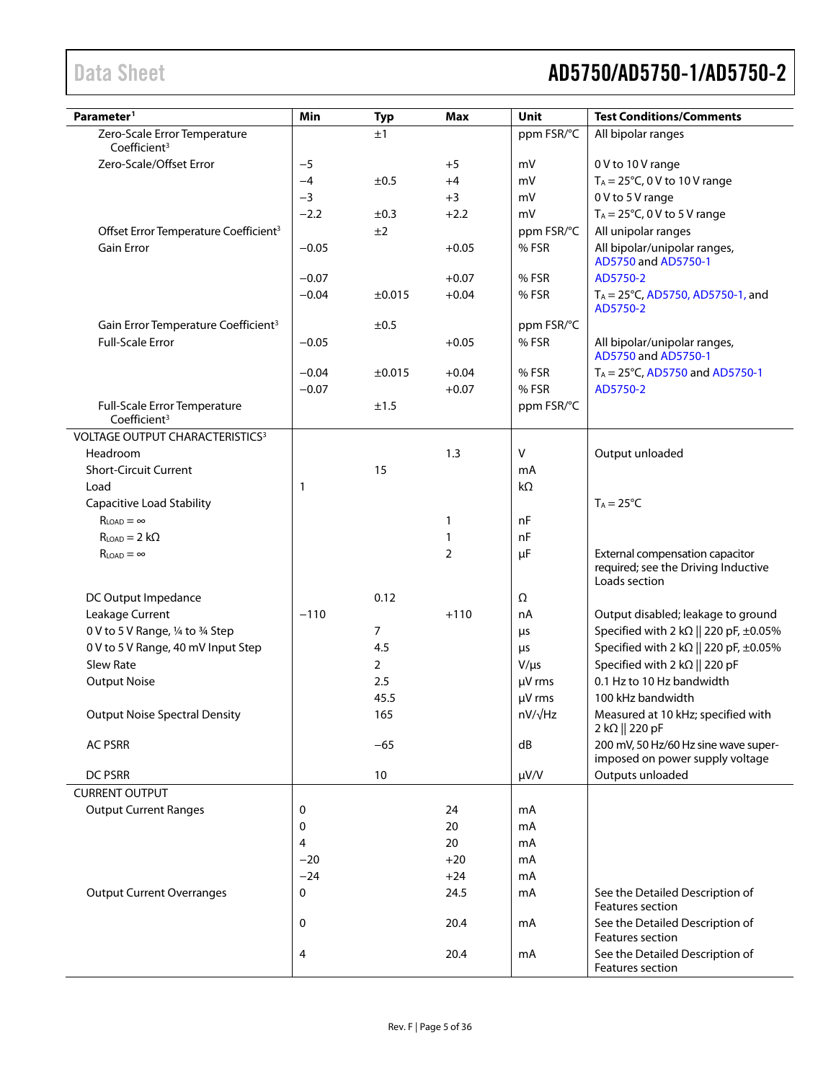| Parameter <sup>1</sup>                                   | Min     | <b>Typ</b>  | <b>Max</b>     | <b>Unit</b> | <b>Test Conditions/Comments</b>                                                         |
|----------------------------------------------------------|---------|-------------|----------------|-------------|-----------------------------------------------------------------------------------------|
| Zero-Scale Error Temperature<br>Coefficient <sup>3</sup> |         | ±1          |                | ppm FSR/°C  | All bipolar ranges                                                                      |
| Zero-Scale/Offset Error                                  | $-5$    |             | $+5$           | mV          | 0 V to 10 V range                                                                       |
|                                                          | $-4$    | ±0.5        | $+4$           | mV          | $T_A = 25^{\circ}C$ , 0 V to 10 V range                                                 |
|                                                          | $-3$    |             | $+3$           | mV          | 0 V to 5 V range                                                                        |
|                                                          | $-2.2$  | ±0.3        | $+2.2$         | mV          | $T_A = 25^{\circ}C$ , 0 V to 5 V range                                                  |
| Offset Error Temperature Coefficient <sup>3</sup>        |         | ±2          |                | ppm FSR/°C  | All unipolar ranges                                                                     |
| <b>Gain Error</b>                                        | $-0.05$ |             | $+0.05$        | %FSR        | All bipolar/unipolar ranges,<br>AD5750 and AD5750-1                                     |
|                                                          | $-0.07$ |             | $+0.07$        | % FSR       | AD5750-2                                                                                |
|                                                          | $-0.04$ | $\pm 0.015$ | $+0.04$        | %FSR        | $T_A = 25^{\circ}C$ , AD5750, AD5750-1, and<br>AD5750-2                                 |
| Gain Error Temperature Coefficient <sup>3</sup>          |         | ±0.5        |                | ppm FSR/°C  |                                                                                         |
| <b>Full-Scale Error</b>                                  | $-0.05$ |             | $+0.05$        | % FSR       | All bipolar/unipolar ranges,<br>AD5750 and AD5750-1                                     |
|                                                          | $-0.04$ | ±0.015      | $+0.04$        | % FSR       | $T_A = 25^{\circ}$ C, AD5750 and AD5750-1                                               |
|                                                          | $-0.07$ |             | $+0.07$        | % FSR       | AD5750-2                                                                                |
| Full-Scale Error Temperature<br>Coefficient <sup>3</sup> |         | ±1.5        |                | ppm FSR/°C  |                                                                                         |
| VOLTAGE OUTPUT CHARACTERISTICS <sup>3</sup>              |         |             |                |             |                                                                                         |
| Headroom                                                 |         |             | 1.3            | V           | Output unloaded                                                                         |
| <b>Short-Circuit Current</b>                             |         | 15          |                | mA          |                                                                                         |
| Load                                                     | 1       |             |                | kΩ          |                                                                                         |
| <b>Capacitive Load Stability</b>                         |         |             |                |             | $T_A = 25^{\circ}C$                                                                     |
| $R_{LOAD} = \infty$                                      |         |             | $\mathbf{1}$   | nF          |                                                                                         |
| $R_{LOAD} = 2 k\Omega$                                   |         |             | $\mathbf{1}$   | nF          |                                                                                         |
| $R_{LOAD} = \infty$                                      |         |             | $\overline{2}$ | $\mu$ F     | External compensation capacitor<br>required; see the Driving Inductive<br>Loads section |
| DC Output Impedance                                      |         | 0.12        |                | Ω           |                                                                                         |
| Leakage Current                                          | $-110$  |             | $+110$         | nA          | Output disabled; leakage to ground                                                      |
| 0 V to 5 V Range, 1/4 to 3/4 Step                        |         | 7           |                | μs          | Specified with 2 k $\Omega$    220 pF, $\pm 0.05\%$                                     |
| 0 V to 5 V Range, 40 mV Input Step                       |         | 4.5         |                | μs          | Specified with 2 k $\Omega$    220 pF, $\pm 0.05\%$                                     |
| <b>Slew Rate</b>                                         |         | 2           |                | $V/\mu s$   | Specified with 2 k $\Omega$    220 pF                                                   |
| <b>Output Noise</b>                                      |         | 2.5         |                | µV rms      | 0.1 Hz to 10 Hz bandwidth                                                               |
|                                                          |         | 45.5        |                | µV rms      | 100 kHz bandwidth                                                                       |
| <b>Output Noise Spectral Density</b>                     |         | 165         |                | nV/√Hz      | Measured at 10 kHz; specified with<br>2 kΩ    220 pF                                    |
| <b>AC PSRR</b>                                           |         | $-65$       |                | dB          | 200 mV, 50 Hz/60 Hz sine wave super-<br>imposed on power supply voltage                 |
| DC PSRR                                                  |         | 10          |                | $\mu V/V$   | Outputs unloaded                                                                        |
| <b>CURRENT OUTPUT</b>                                    |         |             |                |             |                                                                                         |
| <b>Output Current Ranges</b>                             | 0       |             | 24             | mA          |                                                                                         |
|                                                          | 0       |             | 20             | mA          |                                                                                         |
|                                                          | 4       |             | 20             | mA          |                                                                                         |
|                                                          | $-20$   |             | $+20$          | mA          |                                                                                         |
|                                                          | $-24$   |             | $+24$          | mA          |                                                                                         |
| <b>Output Current Overranges</b>                         | 0       |             | 24.5           | mA          | See the Detailed Description of<br>Features section                                     |
|                                                          | 0       |             | 20.4           | mA          | See the Detailed Description of<br>Features section                                     |
|                                                          | 4       |             | 20.4           | mA          | See the Detailed Description of<br>Features section                                     |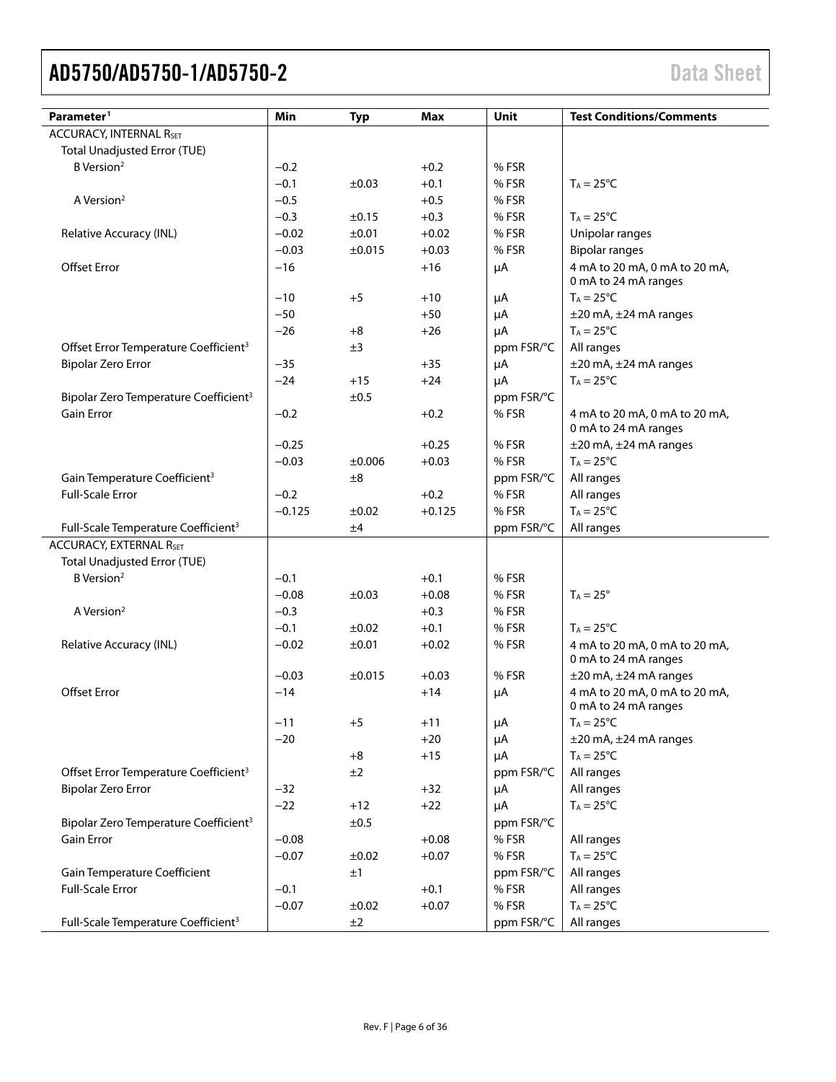| Parameter <sup>1</sup>                            | Min      | <b>Typ</b>  | Max      | Unit       | <b>Test Conditions/Comments</b>                       |
|---------------------------------------------------|----------|-------------|----------|------------|-------------------------------------------------------|
| <b>ACCURACY, INTERNAL RSET</b>                    |          |             |          |            |                                                       |
| <b>Total Unadjusted Error (TUE)</b>               |          |             |          |            |                                                       |
| B Version <sup>2</sup>                            | $-0.2$   |             | $+0.2$   | % FSR      |                                                       |
|                                                   | $-0.1$   | ±0.03       | $+0.1$   | % FSR      | $T_A = 25^{\circ}C$                                   |
| A Version <sup>2</sup>                            | $-0.5$   |             | $+0.5$   | % FSR      |                                                       |
|                                                   | $-0.3$   | ±0.15       | $+0.3$   | % FSR      | $T_A = 25^{\circ}C$                                   |
| Relative Accuracy (INL)                           | $-0.02$  | ±0.01       | $+0.02$  | % FSR      | Unipolar ranges                                       |
|                                                   | $-0.03$  | $\pm 0.015$ | $+0.03$  | % FSR      | <b>Bipolar ranges</b>                                 |
| <b>Offset Error</b>                               | $-16$    |             | $+16$    | μA         | 4 mA to 20 mA, 0 mA to 20 mA,<br>0 mA to 24 mA ranges |
|                                                   | $-10$    | $+5$        | $+10$    | μA         | $T_A = 25^{\circ}C$                                   |
|                                                   | $-50$    |             | $+50$    | μA         | $\pm 20$ mA, $\pm 24$ mA ranges                       |
|                                                   | $-26$    | $+8$        | $+26$    | μA         | $T_A = 25^{\circ}C$                                   |
| Offset Error Temperature Coefficient <sup>3</sup> |          | ±3          |          | ppm FSR/°C | All ranges                                            |
| <b>Bipolar Zero Error</b>                         | $-35$    |             | $+35$    | μA         | ±20 mA, ±24 mA ranges                                 |
|                                                   | $-24$    | $+15$       | $+24$    | μA         | $T_A = 25^{\circ}C$                                   |
| Bipolar Zero Temperature Coefficient <sup>3</sup> |          | ±0.5        |          | ppm FSR/°C |                                                       |
| <b>Gain Error</b>                                 | $-0.2$   |             | $+0.2$   | % FSR      | 4 mA to 20 mA, 0 mA to 20 mA,<br>0 mA to 24 mA ranges |
|                                                   | $-0.25$  |             | $+0.25$  | % FSR      | $\pm$ 20 mA, $\pm$ 24 mA ranges                       |
|                                                   | $-0.03$  | ±0.006      | $+0.03$  | % FSR      | $T_A = 25^{\circ}C$                                   |
| Gain Temperature Coefficient <sup>3</sup>         |          | $\pm 8$     |          | ppm FSR/°C | All ranges                                            |
| <b>Full-Scale Error</b>                           | $-0.2$   |             | $+0.2$   | % FSR      | All ranges                                            |
|                                                   | $-0.125$ | $\pm 0.02$  | $+0.125$ | % FSR      | $T_A = 25^{\circ}C$                                   |
| Full-Scale Temperature Coefficient <sup>3</sup>   |          | ±4          |          | ppm FSR/°C | All ranges                                            |
| <b>ACCURACY, EXTERNAL RSET</b>                    |          |             |          |            |                                                       |
| <b>Total Unadjusted Error (TUE)</b>               |          |             |          |            |                                                       |
| B Version <sup>2</sup>                            | $-0.1$   |             | $+0.1$   | % FSR      |                                                       |
|                                                   | $-0.08$  | $\pm 0.03$  | $+0.08$  | % FSR      | $T_A = 25^\circ$                                      |
| A Version <sup>2</sup>                            | $-0.3$   |             | $+0.3$   | % FSR      |                                                       |
|                                                   | $-0.1$   | ±0.02       | $+0.1$   | % FSR      | $T_A = 25^{\circ}C$                                   |
| Relative Accuracy (INL)                           | $-0.02$  | ±0.01       | $+0.02$  | % FSR      | 4 mA to 20 mA, 0 mA to 20 mA,<br>0 mA to 24 mA ranges |
|                                                   | $-0.03$  | ±0.015      | $+0.03$  | % FSR      | $\pm$ 20 mA, $\pm$ 24 mA ranges                       |
| <b>Offset Error</b>                               | $-14$    |             | $+14$    | μA         | 4 mA to 20 mA, 0 mA to 20 mA,<br>0 mA to 24 mA ranges |
|                                                   | $-11$    | $+5$        | $+11$    | μA         | $T_A = 25^{\circ}C$                                   |
|                                                   | $-20$    |             | $+20$    | μA         | $\pm$ 20 mA, $\pm$ 24 mA ranges                       |
|                                                   |          | $+8$        | $+15$    | μA         | $T_A = 25^{\circ}C$                                   |
| Offset Error Temperature Coefficient <sup>3</sup> |          | ±2          |          | ppm FSR/°C | All ranges                                            |
| <b>Bipolar Zero Error</b>                         | $-32$    |             | $+32$    | μA         | All ranges                                            |
|                                                   | $-22$    | $+12$       | $+22$    | μA         | $T_A = 25^{\circ}C$                                   |
| Bipolar Zero Temperature Coefficient <sup>3</sup> |          | ±0.5        |          | ppm FSR/°C |                                                       |
| Gain Error                                        | $-0.08$  |             | $+0.08$  | %FSR       | All ranges                                            |
|                                                   | $-0.07$  | ±0.02       | $+0.07$  | %FSR       | $T_A = 25^{\circ}C$                                   |
| Gain Temperature Coefficient                      |          | ±1          |          | ppm FSR/°C | All ranges                                            |
| <b>Full-Scale Error</b>                           | $-0.1$   |             | $+0.1$   | %FSR       | All ranges                                            |
|                                                   | $-0.07$  | ±0.02       | $+0.07$  | % FSR      | $T_A = 25$ °C                                         |
| Full-Scale Temperature Coefficient <sup>3</sup>   |          | ±2          |          | ppm FSR/°C | All ranges                                            |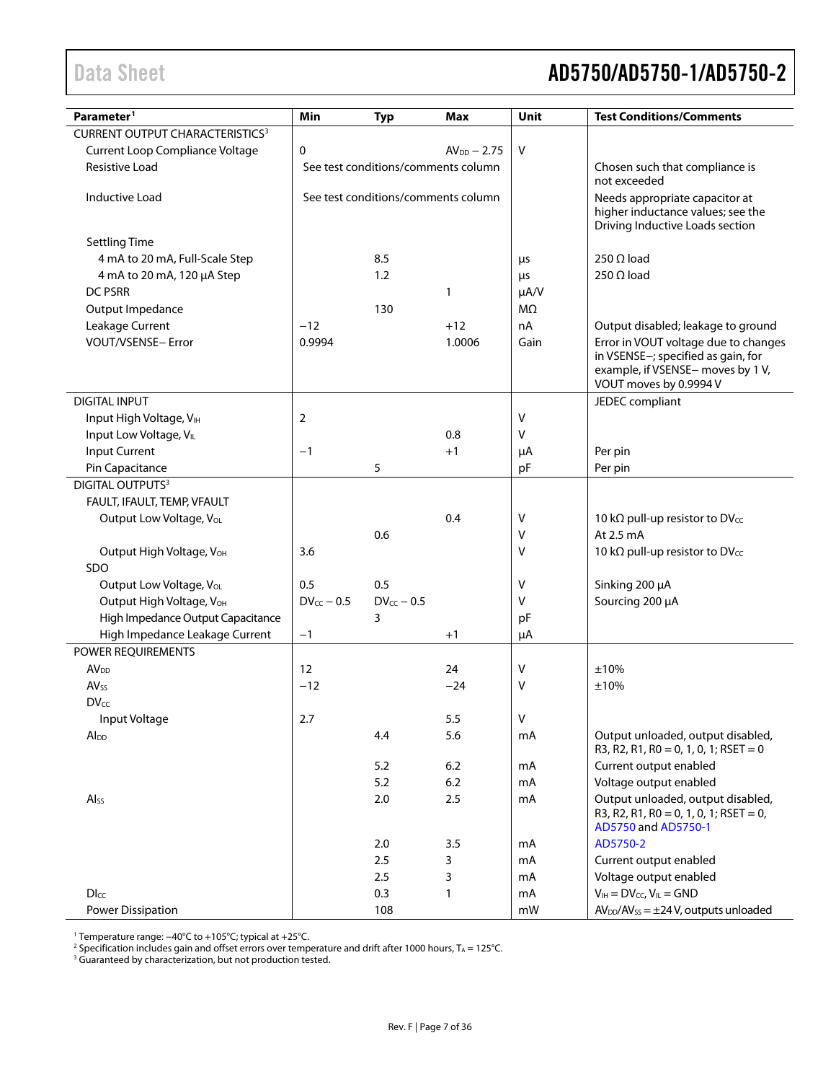<span id="page-6-0"></span>

| Parameter <sup>1</sup>                                 | Min               | <b>Typ</b>                          | <b>Max</b>       | Unit            | <b>Test Conditions/Comments</b>                                                                    |
|--------------------------------------------------------|-------------------|-------------------------------------|------------------|-----------------|----------------------------------------------------------------------------------------------------|
| <b>CURRENT OUTPUT CHARACTERISTICS3</b>                 |                   |                                     |                  |                 |                                                                                                    |
| Current Loop Compliance Voltage                        | 0                 |                                     | $AV_{DD} - 2.75$ | V               |                                                                                                    |
| Resistive Load                                         |                   | See test conditions/comments column |                  |                 | Chosen such that compliance is                                                                     |
|                                                        |                   |                                     |                  |                 | not exceeded                                                                                       |
| Inductive Load                                         |                   | See test conditions/comments column |                  |                 | Needs appropriate capacitor at                                                                     |
|                                                        |                   |                                     |                  |                 | higher inductance values; see the<br>Driving Inductive Loads section                               |
|                                                        |                   |                                     |                  |                 |                                                                                                    |
| <b>Settling Time</b><br>4 mA to 20 mA, Full-Scale Step |                   | 8.5                                 |                  |                 | 250 $\Omega$ load                                                                                  |
|                                                        |                   | 1.2                                 |                  | μs              | 250 $\Omega$ load                                                                                  |
| 4 mA to 20 mA, 120 µA Step<br><b>DC PSRR</b>           |                   |                                     | 1                | μs<br>$\mu A/V$ |                                                                                                    |
|                                                        |                   | 130                                 |                  | $M\Omega$       |                                                                                                    |
| Output Impedance                                       | $-12$             |                                     | $+12$            | nA              |                                                                                                    |
| Leakage Current<br>VOUT/VSENSE- Error                  | 0.9994            |                                     | 1.0006           | Gain            | Output disabled; leakage to ground<br>Error in VOUT voltage due to changes                         |
|                                                        |                   |                                     |                  |                 | in VSENSE-; specified as gain, for                                                                 |
|                                                        |                   |                                     |                  |                 | example, if VSENSE- moves by 1 V,                                                                  |
|                                                        |                   |                                     |                  |                 | VOUT moves by 0.9994 V                                                                             |
| <b>DIGITAL INPUT</b>                                   |                   |                                     |                  |                 | JEDEC compliant                                                                                    |
| Input High Voltage, VIH                                | 2                 |                                     |                  | $\mathsf{V}$    |                                                                                                    |
| Input Low Voltage, VIL                                 |                   |                                     | 0.8              | v               |                                                                                                    |
| Input Current                                          | $-1$              |                                     | $+1$             | μA              | Per pin                                                                                            |
| Pin Capacitance                                        |                   | 5                                   |                  | pF              | Per pin                                                                                            |
| <b>DIGITAL OUTPUTS3</b>                                |                   |                                     |                  |                 |                                                                                                    |
| FAULT, IFAULT, TEMP, VFAULT                            |                   |                                     |                  |                 |                                                                                                    |
| Output Low Voltage, VoL                                |                   |                                     | 0.4              | V               | 10 kΩ pull-up resistor to DVcc                                                                     |
|                                                        |                   | 0.6                                 |                  | V               | At 2.5 mA                                                                                          |
| Output High Voltage, VOH                               | 3.6               |                                     |                  | $\vee$          | 10 kΩ pull-up resistor to DVcc                                                                     |
| SDO                                                    |                   |                                     |                  |                 |                                                                                                    |
| Output Low Voltage, VoL                                | 0.5               | 0.5                                 |                  | V               | Sinking 200 µA                                                                                     |
| Output High Voltage, V <sub>OH</sub>                   | $DV_{CC}$ - 0.5   | $DV_{CC} - 0.5$                     |                  | v               | Sourcing 200 µA                                                                                    |
| High Impedance Output Capacitance                      |                   | 3                                   |                  | pF              |                                                                                                    |
| High Impedance Leakage Current                         | $-1$              |                                     | $+1$             | μA              |                                                                                                    |
| POWER REQUIREMENTS                                     |                   |                                     |                  |                 |                                                                                                    |
| <b>AV</b> <sub>DD</sub>                                | $12 \overline{ }$ |                                     | 24               | $\vee$          | ±10%                                                                                               |
| $AV_{SS}$                                              | $-12$             |                                     | $-24$            | V               | ±10%                                                                                               |
| <b>DVcc</b>                                            |                   |                                     |                  |                 |                                                                                                    |
| Input Voltage                                          | 2.7               |                                     | 5.5              | $\vee$          |                                                                                                    |
| Al <sub>DD</sub>                                       |                   | 4.4                                 | 5.6              | mA              | Output unloaded, output disabled,<br>R3, R2, R1, R0 = 0, 1, 0, 1; RSET = 0                         |
|                                                        |                   | 5.2                                 | 6.2              | mA              | Current output enabled                                                                             |
|                                                        |                   | 5.2                                 | 6.2              | mA              | Voltage output enabled                                                                             |
| Alss                                                   |                   | 2.0                                 | 2.5              | mA              | Output unloaded, output disabled,<br>R3, R2, R1, R0 = 0, 1, 0, 1; RSET = 0,<br>AD5750 and AD5750-1 |
|                                                        |                   | 2.0                                 | 3.5              | mA              | AD5750-2                                                                                           |
|                                                        |                   | 2.5                                 | 3                | mA              | Current output enabled                                                                             |
|                                                        |                   | 2.5                                 | 3                | mA              | Voltage output enabled                                                                             |
| $D_{\text{LCC}}$                                       |                   | 0.3                                 | $\mathbf{1}$     | mA              | $V_{IH} = DV_{CC}$ , $V_{IL} = GND$                                                                |
| Power Dissipation                                      |                   | 108                                 |                  | mW              | $AV_{DD}/AV_{SS} = \pm 24 V$ , outputs unloaded                                                    |

<sup>1</sup> Temperature range: −40°C to +105°C; typical at +25°C.

 $^2$  Specification includes gain and offset errors over temperature and drift after 1000 hours, T $_{\rm A}$  = 125°C.

<sup>3</sup> Guaranteed by characterization, but not production tested.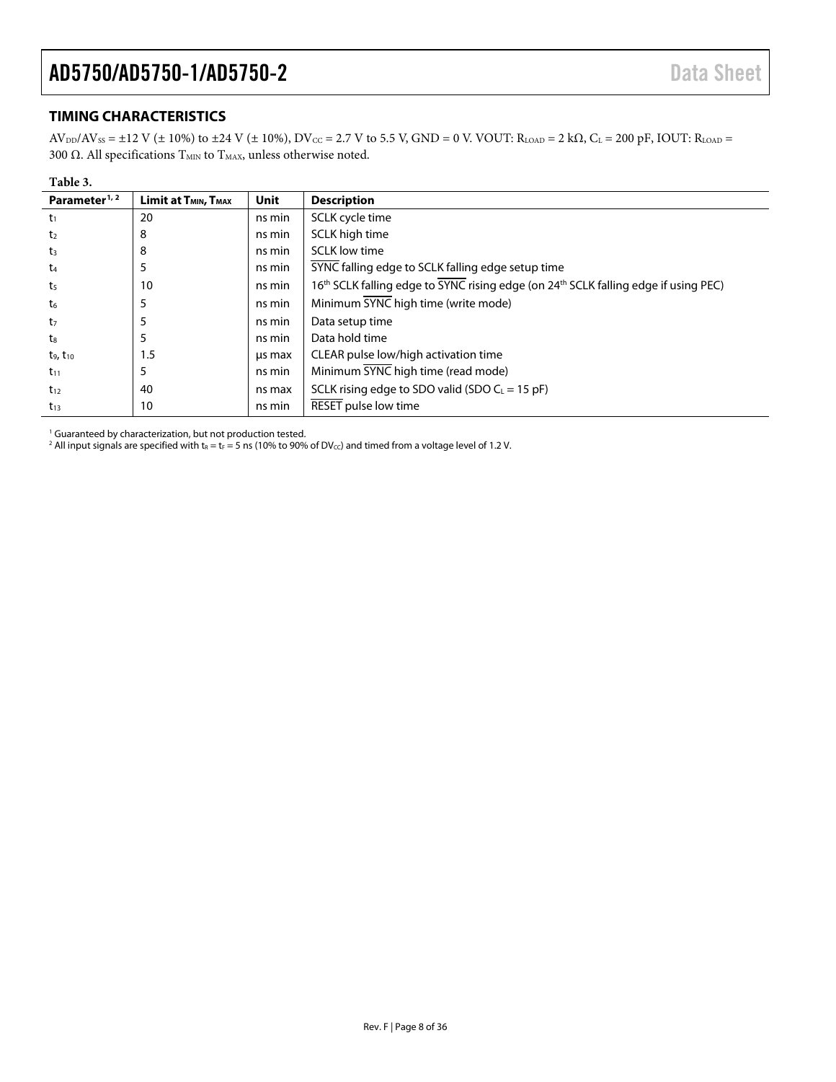#### <span id="page-7-0"></span>**TIMING CHARACTERISTICS**

 $AV_{DD}/AV_{SS} = \pm 12 \text{ V } (\pm 10\%)$  to  $\pm 24 \text{ V } (\pm 10\%)$ ,  $DV_{CC} = 2.7 \text{ V }$  to 5.5 V,  $GND = 0$  V. VOUT:  $R_{LOAD} = 2 \text{ k}\Omega$ ,  $C_L = 200 \text{ pF}$ , IOUT:  $R_{LOAD} =$ 300 Ω. All specifications  $T_\textrm{MIN}$  to  $T_\textrm{MAX}$  unless otherwise noted.

| Table 3.                  |                                              |             |                                                                                                             |
|---------------------------|----------------------------------------------|-------------|-------------------------------------------------------------------------------------------------------------|
| Parameter <sup>1, 2</sup> | Limit at T <sub>MIN</sub> , T <sub>MAX</sub> | <b>Unit</b> | <b>Description</b>                                                                                          |
| $t_1$                     | 20                                           | ns min      | SCLK cycle time                                                                                             |
| t <sub>2</sub>            | 8                                            | ns min      | SCLK high time                                                                                              |
| $t_3$                     | 8                                            | ns min      | <b>SCLK</b> low time                                                                                        |
| $t_{4}$                   | 5                                            | ns min      | SYNC falling edge to SCLK falling edge setup time                                                           |
| t <sub>5</sub>            | 10                                           | ns min      | 16 <sup>th</sup> SCLK falling edge to SYNC rising edge (on 24 <sup>th</sup> SCLK falling edge if using PEC) |
| t6                        | 5                                            | ns min      | Minimum SYNC high time (write mode)                                                                         |
| t <sub>7</sub>            | 5                                            | ns min      | Data setup time                                                                                             |
| ts                        | 5                                            | ns min      | Data hold time                                                                                              |
| $t_9, t_{10}$             | 1.5                                          | us max      | CLEAR pulse low/high activation time                                                                        |
| $t_{11}$                  | 5                                            | ns min      | Minimum SYNC high time (read mode)                                                                          |
| $t_{12}$                  | 40                                           | ns max      | SCLK rising edge to SDO valid (SDO $C_L = 15$ pF)                                                           |
| $t_{13}$                  | 10                                           | ns min      | RESET pulse low time                                                                                        |

<sup>1</sup> Guaranteed by characterization, but not production tested.

<span id="page-7-1"></span> $^2$  All input signals are specified with t $_{\rm R}$  = t $_{\rm F}$  = 5 ns (10% to 90% of DV $_{\rm cc}$ ) and timed from a voltage level of 1.2 V.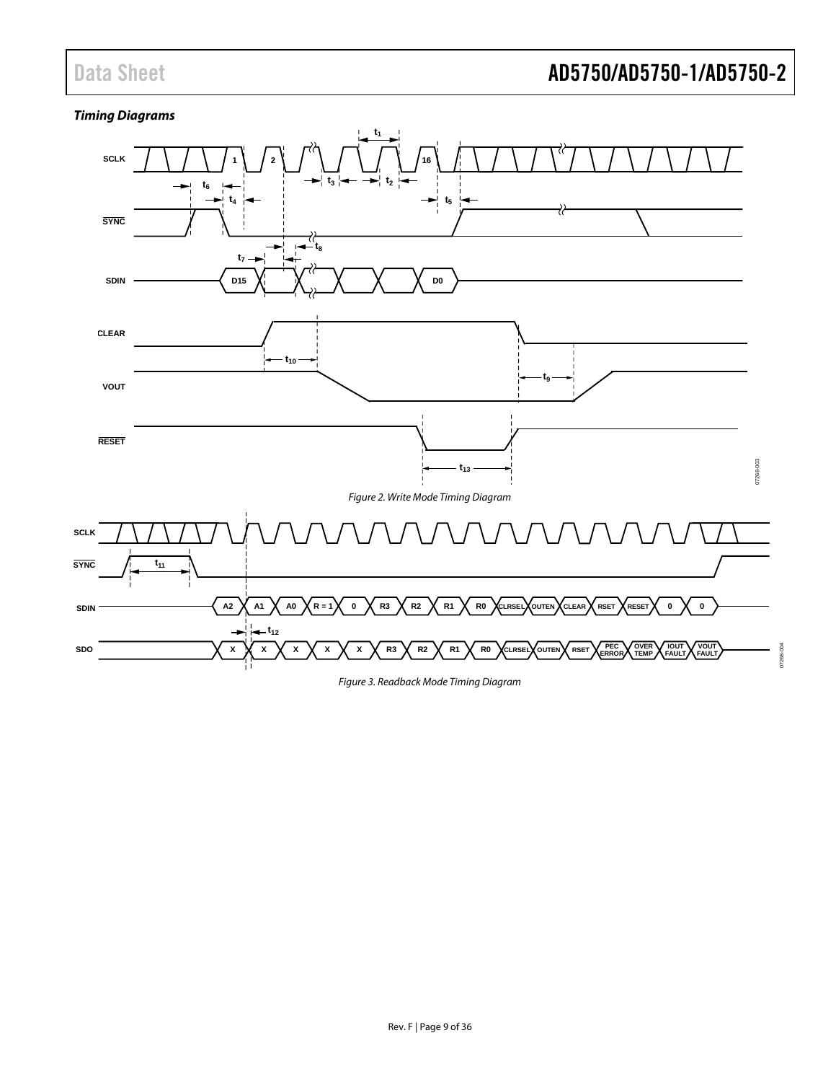07268-004

### *Timing Diagrams*



<span id="page-8-0"></span>*Figure 3. Readback Mode Timing Diagram*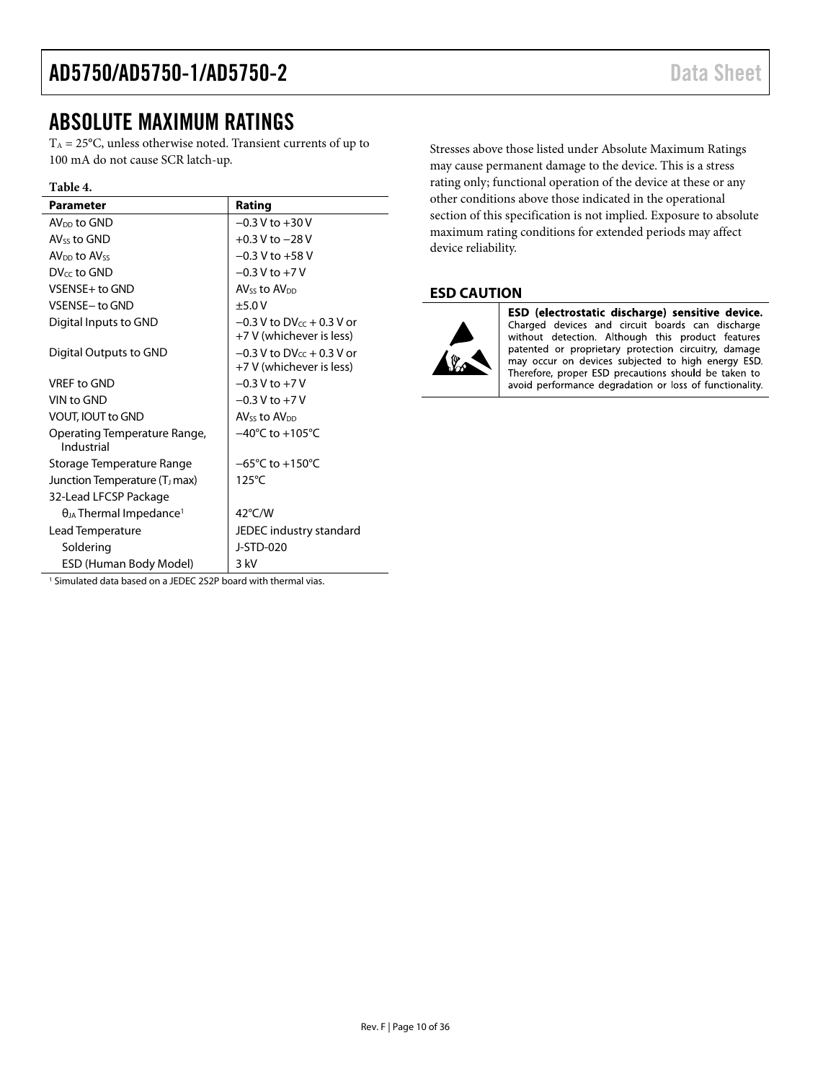### <span id="page-9-0"></span>ABSOLUTE MAXIMUM RATINGS

 $T_A = 25$ °C, unless otherwise noted. Transient currents of up to 100 mA do not cause SCR latch-up.

#### **Table 4.**

| <b>Parameter</b>                             | Rating                                                        |
|----------------------------------------------|---------------------------------------------------------------|
| $AVDD$ to GND                                | $-0.3 V$ to $+30 V$                                           |
| AV <sub>ss</sub> to GND                      | $+0.3$ V to $-28$ V                                           |
| AV <sub>DD</sub> to AVss                     | $-0.3$ V to $+58$ V                                           |
| DV <sub>cc</sub> to GND                      | $-0.3$ V to $+7$ V                                            |
| VSENSE+ to GND                               | AV <sub>ss</sub> to AV <sub>pp</sub>                          |
| VSENSE- to GND                               | $+5.0V$                                                       |
| Digital Inputs to GND                        | $-0.3$ V to DV $_{cc}$ + 0.3 V or<br>+7 V (whichever is less) |
| Digital Outputs to GND                       | $-0.3$ V to DV $cr + 0.3$ V or<br>+7 V (whichever is less)    |
| <b>VREF to GND</b>                           | $-0.3$ V to $+7$ V                                            |
| VIN to GND                                   | $-0.3$ V to $+7$ V                                            |
| <b>VOUT, IOUT to GND</b>                     | AV <sub>ss</sub> to AV <sub>pp</sub>                          |
| Operating Temperature Range,<br>Industrial   | $-40^{\circ}$ C to $+105^{\circ}$ C                           |
| Storage Temperature Range                    | $-65^{\circ}$ C to $+150^{\circ}$ C                           |
| Junction Temperature (T <sub>J</sub> max)    | $125^{\circ}$ C                                               |
| 32-Lead LFCSP Package                        |                                                               |
| $\theta_{JA}$ Thermal Impedance <sup>1</sup> | $42^{\circ}$ C/W                                              |
| Lead Temperature                             | JEDEC industry standard                                       |
| Soldering                                    | <b>J-STD-020</b>                                              |
| ESD (Human Body Model)                       | 3 kV                                                          |

Stresses above those listed under Absolute Maximum Ratings may cause permanent damage to the device. This is a stress rating only; functional operation of the device at these or any other conditions above those indicated in the operational section of this specification is not implied. Exposure to absolute maximum rating conditions for extended periods may affect device reliability.

#### <span id="page-9-1"></span>**ESD CAUTION**



ESD (electrostatic discharge) sensitive device. Charged devices and circuit boards can discharge without detection. Although this product features patented or proprietary protection circuitry, damage may occur on devices subjected to high energy ESD. Therefore, proper ESD precautions should be taken to avoid performance degradation or loss of functionality.

<sup>1</sup> Simulated data based on a JEDEC 2S2P board with thermal vias.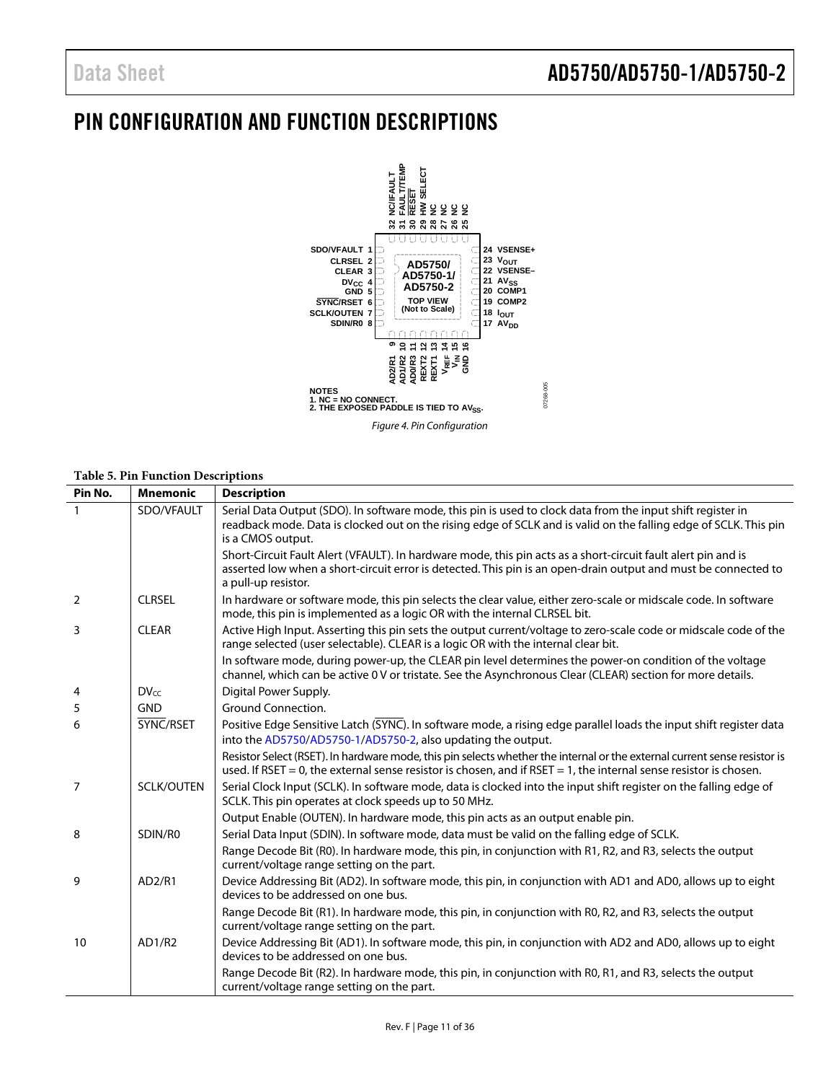### <span id="page-10-0"></span>PIN CONFIGURATION AND FUNCTION DESCRIPTIONS



#### **Table 5. Pin Function Descriptions**

| Pin No.        | <b>Mnemonic</b>   | <b>Description</b>                                                                                                                                                                                                                                     |
|----------------|-------------------|--------------------------------------------------------------------------------------------------------------------------------------------------------------------------------------------------------------------------------------------------------|
|                | SDO/VFAULT        | Serial Data Output (SDO). In software mode, this pin is used to clock data from the input shift register in<br>readback mode. Data is clocked out on the rising edge of SCLK and is valid on the falling edge of SCLK. This pin<br>is a CMOS output.   |
|                |                   | Short-Circuit Fault Alert (VFAULT). In hardware mode, this pin acts as a short-circuit fault alert pin and is<br>asserted low when a short-circuit error is detected. This pin is an open-drain output and must be connected to<br>a pull-up resistor. |
| $\overline{2}$ | <b>CLRSEL</b>     | In hardware or software mode, this pin selects the clear value, either zero-scale or midscale code. In software<br>mode, this pin is implemented as a logic OR with the internal CLRSEL bit.                                                           |
| 3              | <b>CLEAR</b>      | Active High Input. Asserting this pin sets the output current/voltage to zero-scale code or midscale code of the<br>range selected (user selectable). CLEAR is a logic OR with the internal clear bit.                                                 |
|                |                   | In software mode, during power-up, the CLEAR pin level determines the power-on condition of the voltage<br>channel, which can be active 0V or tristate. See the Asynchronous Clear (CLEAR) section for more details.                                   |
| 4              | $DV_{cc}$         | Digital Power Supply.                                                                                                                                                                                                                                  |
| 5              | <b>GND</b>        | <b>Ground Connection.</b>                                                                                                                                                                                                                              |
| 6              | SYNC/RSET         | Positive Edge Sensitive Latch (SYNC). In software mode, a rising edge parallel loads the input shift register data<br>into the AD5750/AD5750-1/AD5750-2, also updating the output.                                                                     |
|                |                   | Resistor Select (RSET). In hardware mode, this pin selects whether the internal or the external current sense resistor is<br>used. If RSET = 0, the external sense resistor is chosen, and if RSET = 1, the internal sense resistor is chosen.         |
| $\overline{7}$ | <b>SCLK/OUTEN</b> | Serial Clock Input (SCLK). In software mode, data is clocked into the input shift register on the falling edge of<br>SCLK. This pin operates at clock speeds up to 50 MHz.                                                                             |
|                |                   | Output Enable (OUTEN). In hardware mode, this pin acts as an output enable pin.                                                                                                                                                                        |
| 8              | SDIN/R0           | Serial Data Input (SDIN). In software mode, data must be valid on the falling edge of SCLK.                                                                                                                                                            |
|                |                   | Range Decode Bit (R0). In hardware mode, this pin, in conjunction with R1, R2, and R3, selects the output<br>current/voltage range setting on the part.                                                                                                |
| 9              | AD2/R1            | Device Addressing Bit (AD2). In software mode, this pin, in conjunction with AD1 and AD0, allows up to eight<br>devices to be addressed on one bus.                                                                                                    |
|                |                   | Range Decode Bit (R1). In hardware mode, this pin, in conjunction with R0, R2, and R3, selects the output<br>current/voltage range setting on the part.                                                                                                |
| 10             | AD1/R2            | Device Addressing Bit (AD1). In software mode, this pin, in conjunction with AD2 and AD0, allows up to eight<br>devices to be addressed on one bus.                                                                                                    |
|                |                   | Range Decode Bit (R2). In hardware mode, this pin, in conjunction with R0, R1, and R3, selects the output<br>current/voltage range setting on the part.                                                                                                |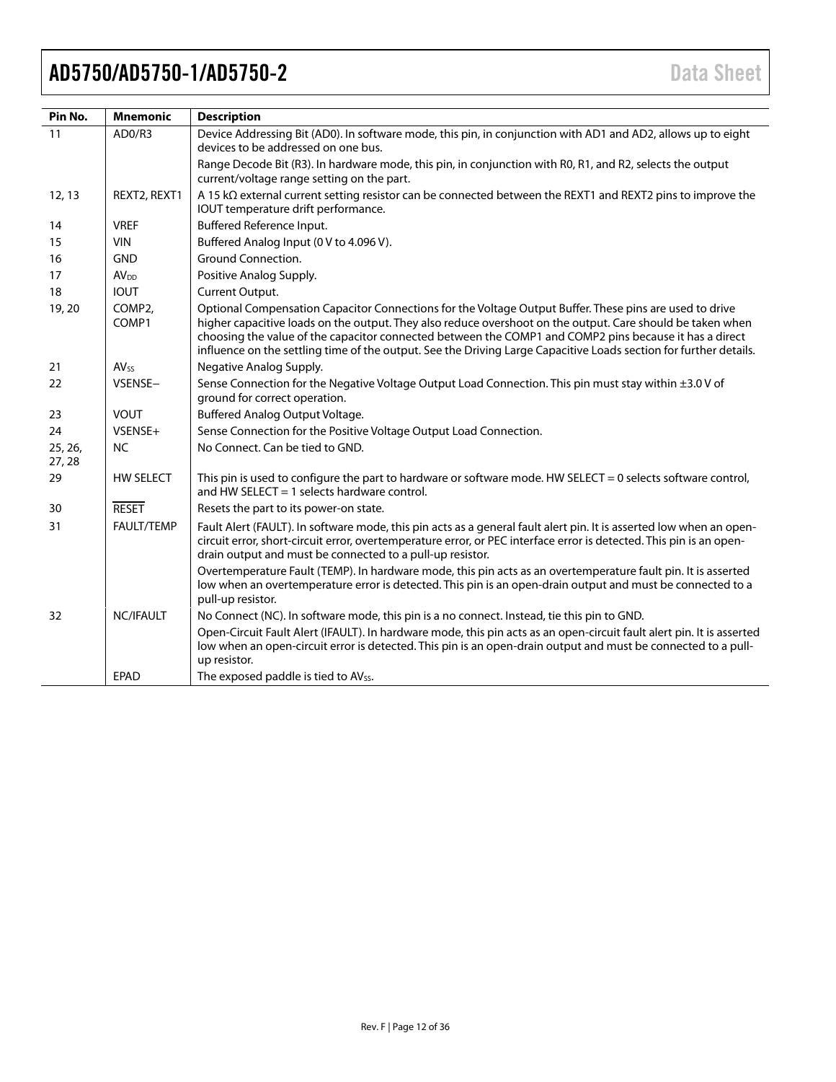| Pin No.          | <b>Mnemonic</b>        | <b>Description</b>                                                                                                                                                                                                                                                                                                                                                                                                                                   |
|------------------|------------------------|------------------------------------------------------------------------------------------------------------------------------------------------------------------------------------------------------------------------------------------------------------------------------------------------------------------------------------------------------------------------------------------------------------------------------------------------------|
| 11               | AD0/R3                 | Device Addressing Bit (AD0). In software mode, this pin, in conjunction with AD1 and AD2, allows up to eight<br>devices to be addressed on one bus.                                                                                                                                                                                                                                                                                                  |
|                  |                        | Range Decode Bit (R3). In hardware mode, this pin, in conjunction with R0, R1, and R2, selects the output<br>current/voltage range setting on the part.                                                                                                                                                                                                                                                                                              |
| 12, 13           | REXT2, REXT1           | A 15 kΩ external current setting resistor can be connected between the REXT1 and REXT2 pins to improve the<br>IOUT temperature drift performance.                                                                                                                                                                                                                                                                                                    |
| 14               | <b>VREF</b>            | Buffered Reference Input.                                                                                                                                                                                                                                                                                                                                                                                                                            |
| 15               | <b>VIN</b>             | Buffered Analog Input (0 V to 4.096 V).                                                                                                                                                                                                                                                                                                                                                                                                              |
| 16               | <b>GND</b>             | Ground Connection.                                                                                                                                                                                                                                                                                                                                                                                                                                   |
| 17               | AV <sub>DD</sub>       | Positive Analog Supply.                                                                                                                                                                                                                                                                                                                                                                                                                              |
| 18               | <b>IOUT</b>            | Current Output.                                                                                                                                                                                                                                                                                                                                                                                                                                      |
| 19, 20           | COMP2.<br>COMP1        | Optional Compensation Capacitor Connections for the Voltage Output Buffer. These pins are used to drive<br>higher capacitive loads on the output. They also reduce overshoot on the output. Care should be taken when<br>choosing the value of the capacitor connected between the COMP1 and COMP2 pins because it has a direct<br>influence on the settling time of the output. See the Driving Large Capacitive Loads section for further details. |
| 21               | <b>AV<sub>SS</sub></b> | Negative Analog Supply.                                                                                                                                                                                                                                                                                                                                                                                                                              |
| 22               | VSENSE-                | Sense Connection for the Negative Voltage Output Load Connection. This pin must stay within ±3.0 V of<br>ground for correct operation.                                                                                                                                                                                                                                                                                                               |
| 23               | <b>VOUT</b>            | Buffered Analog Output Voltage.                                                                                                                                                                                                                                                                                                                                                                                                                      |
| 24               | VSENSE+                | Sense Connection for the Positive Voltage Output Load Connection.                                                                                                                                                                                                                                                                                                                                                                                    |
| 25, 26,<br>27,28 | <b>NC</b>              | No Connect. Can be tied to GND.                                                                                                                                                                                                                                                                                                                                                                                                                      |
| 29               | <b>HW SELECT</b>       | This pin is used to configure the part to hardware or software mode. HW SELECT = 0 selects software control,<br>and HW SELECT $=$ 1 selects hardware control.                                                                                                                                                                                                                                                                                        |
| 30               | <b>RESET</b>           | Resets the part to its power-on state.                                                                                                                                                                                                                                                                                                                                                                                                               |
| 31               | FAULT/TEMP             | Fault Alert (FAULT). In software mode, this pin acts as a general fault alert pin. It is asserted low when an open-<br>circuit error, short-circuit error, overtemperature error, or PEC interface error is detected. This pin is an open-<br>drain output and must be connected to a pull-up resistor.                                                                                                                                              |
|                  |                        | Overtemperature Fault (TEMP). In hardware mode, this pin acts as an overtemperature fault pin. It is asserted<br>low when an overtemperature error is detected. This pin is an open-drain output and must be connected to a<br>pull-up resistor.                                                                                                                                                                                                     |
| 32               | NC/IFAULT              | No Connect (NC). In software mode, this pin is a no connect. Instead, tie this pin to GND.                                                                                                                                                                                                                                                                                                                                                           |
|                  |                        | Open-Circuit Fault Alert (IFAULT). In hardware mode, this pin acts as an open-circuit fault alert pin. It is asserted<br>low when an open-circuit error is detected. This pin is an open-drain output and must be connected to a pull-<br>up resistor.                                                                                                                                                                                               |
|                  | <b>EPAD</b>            | The exposed paddle is tied to AVss.                                                                                                                                                                                                                                                                                                                                                                                                                  |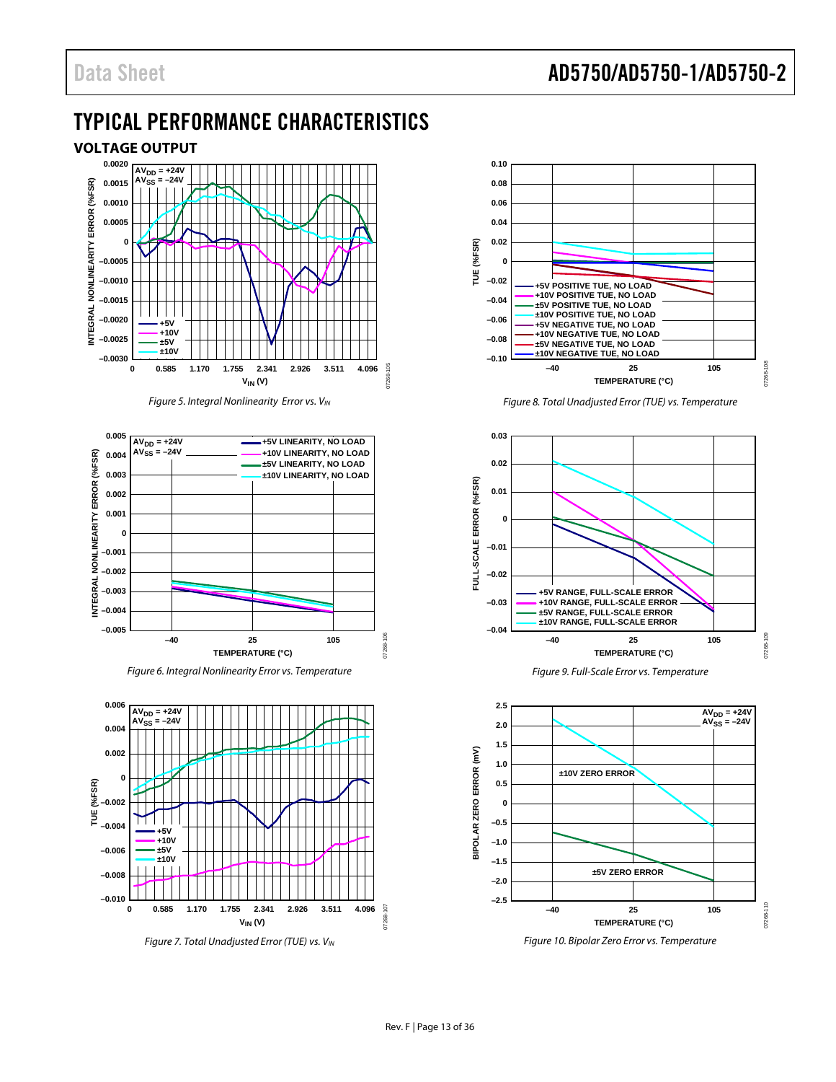### <span id="page-12-0"></span>TYPICAL PERFORMANCE CHARACTERISTICS

<span id="page-12-1"></span>

*Figure 5. Integral Nonlinearity Error vs. VIN*

<span id="page-12-2"></span>

*Figure 6. Integral Nonlinearity Error vs. Temperature*



*Figure 7. Total Unadjusted Error (TUE) vs. VIN*



*Figure 8. Total Unadjusted Error (TUE) vs. Temperature*







<span id="page-12-3"></span>*Figure 10. Bipolar Zero Error vs. Temperature*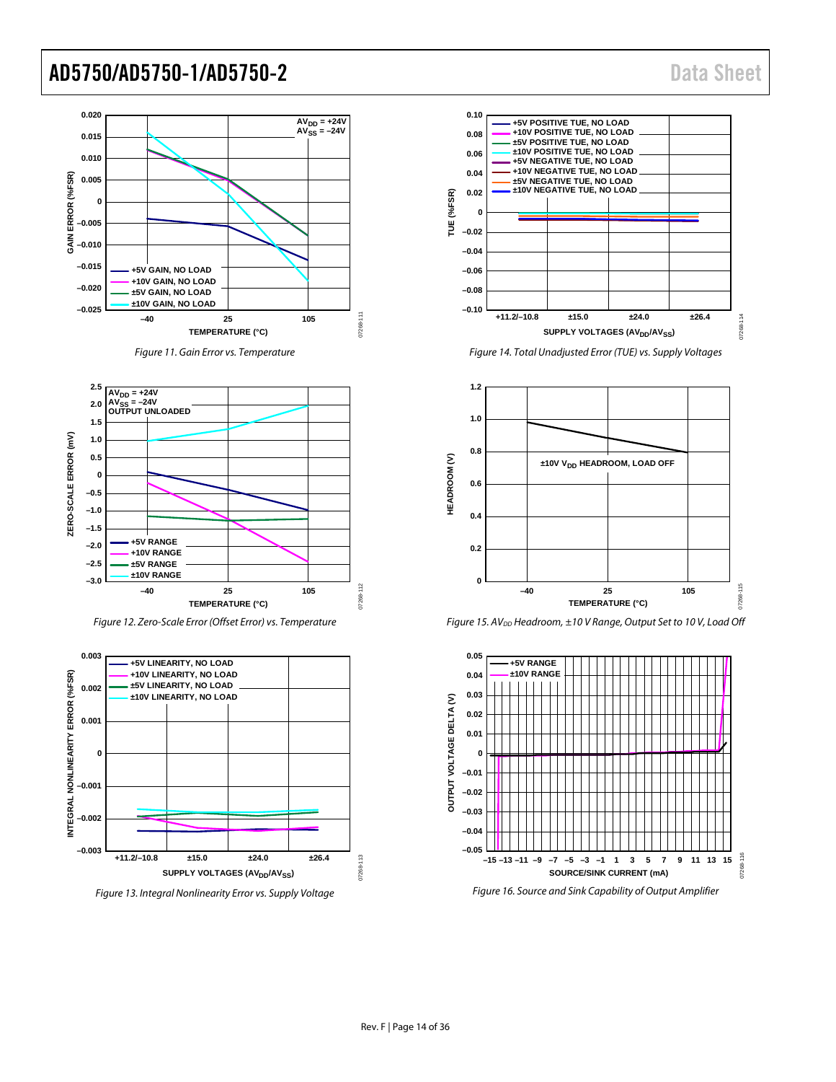



<span id="page-13-0"></span>

*Figure 12. Zero-Scale Error (Offset Error) vs. Temperature*



*Figure 13. Integral Nonlinearity Error vs. Supply Voltage*



**0.10**

*Figure 14. Total Unadjusted Error (TUE) vs. Supply Voltages*





<span id="page-13-1"></span>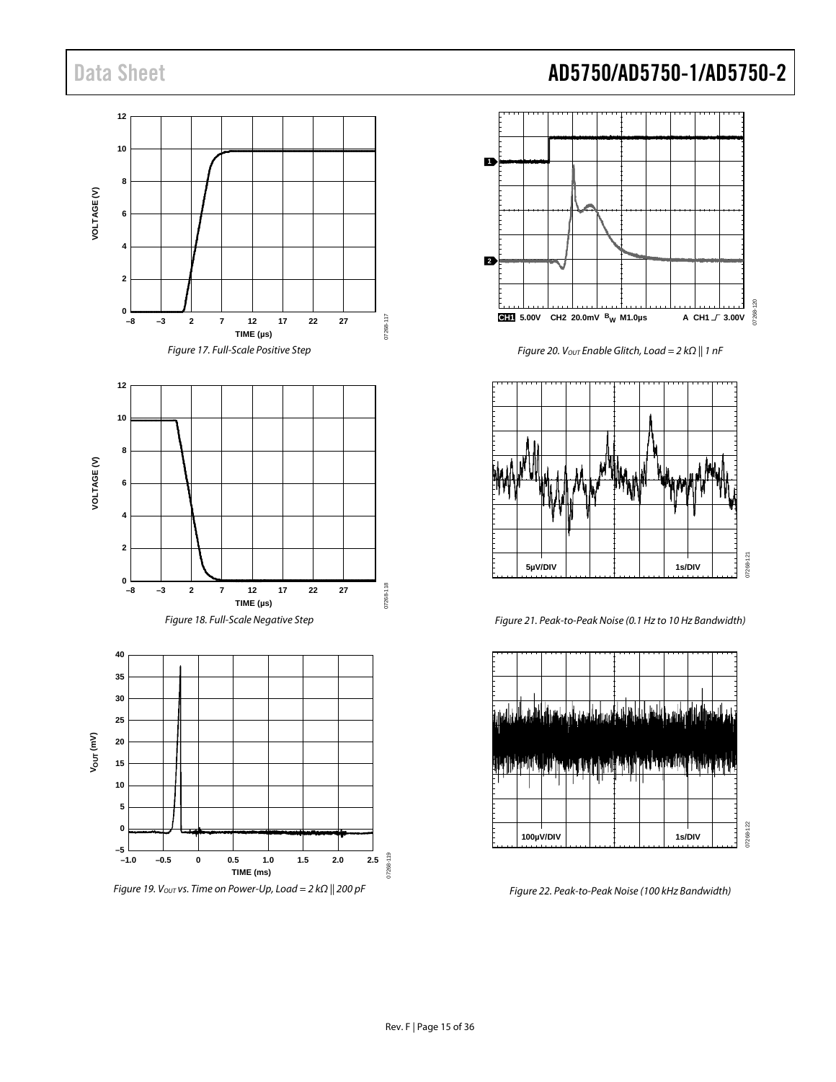



Figure 20. V<sub>OUT</sub> Enable Glitch, Load = 2 k $\Omega$  || 1 nF



Figure 21. Peak-to-Peak Noise (0.1 Hz to 10 Hz Bandwidth)



Figure 22. Peak-to-Peak Noise (100 kHz Bandwidth)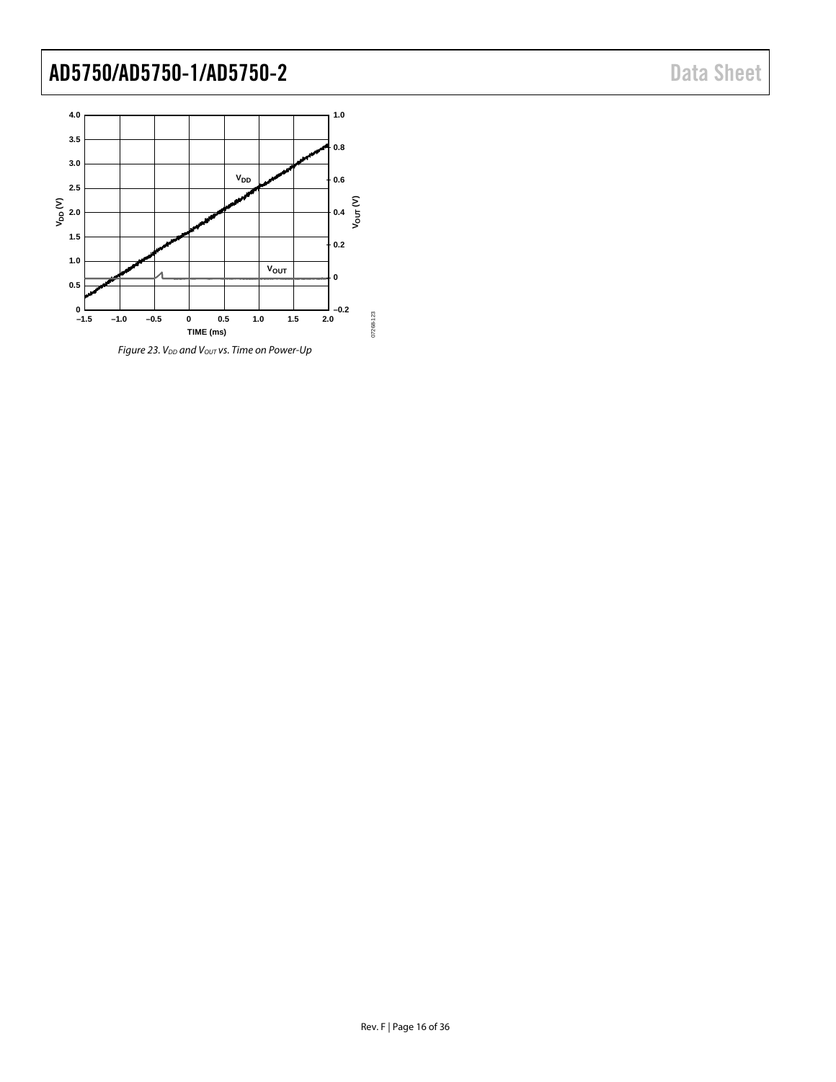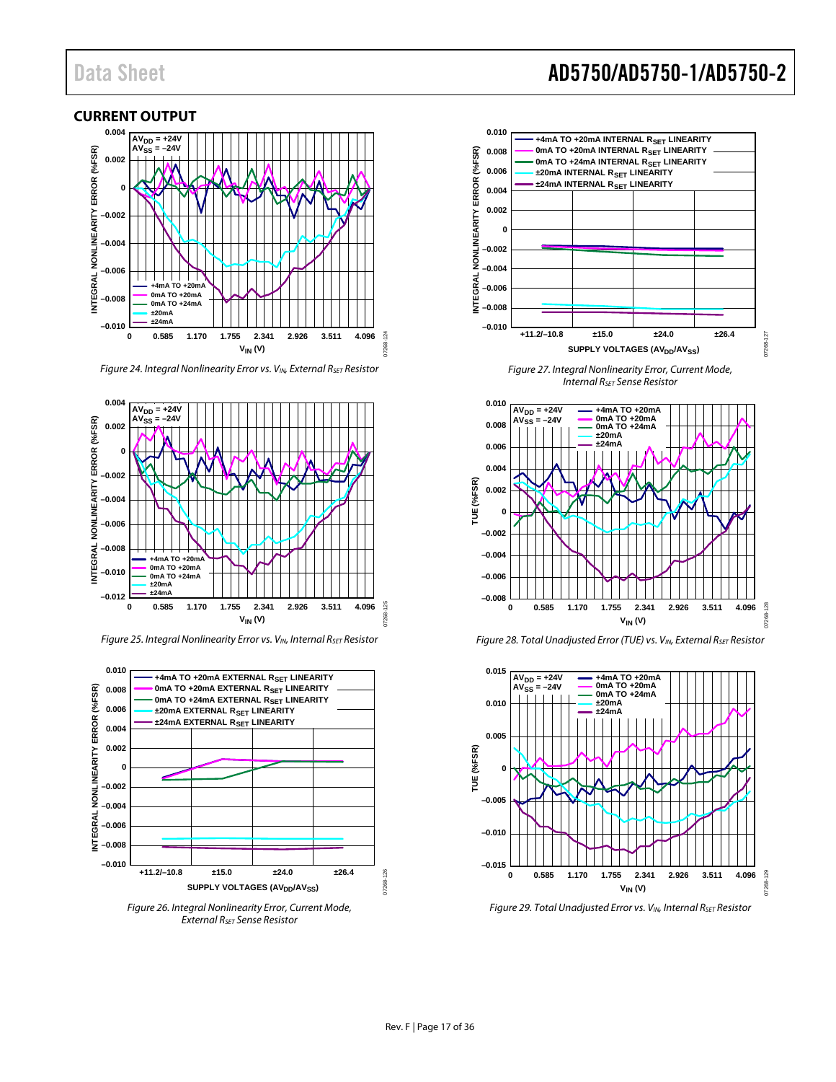#### <span id="page-16-0"></span>**CURRENT OUTPUT 0.004** AV<sub>DD</sub> = +24V<br>AV<sub>SS</sub> = –24V  $=-24V$ ERROR (%FSR) **INTEGRAL NONLINEARITY ERROR (%FSR) 0.002 0 NONLINEARITY –0.002 –0.004 –0.006 INTEGRAL**  $TO + 20$ **0mA TO +20mA –0.008 0mA TO +24mA ±20mA ±24mA –0.010**  $124$ 07268-124 **0 0.585 1.170 1.755 2.341 2.926 3.511 4.096 VIN (V)**

*Figure 24. Integral Nonlinearity Error vs. VIN, External RsET Resistor* 



*Figure 25. Integral Nonlinearity Error vs. VIN, Internal RSET Resistor*



*Figure 26. Integral Nonlinearity Error, Current Mode, External RSET Sense Resistor*

### Data Sheet **AD5750/AD5750-1/AD5750-2**



*Figure 27. Integral Nonlinearity Error, Current Mode, Internal RSET Sense Resistor*







*Figure 29. Total Unadjusted Error vs. VIN, Internal RSET Resistor*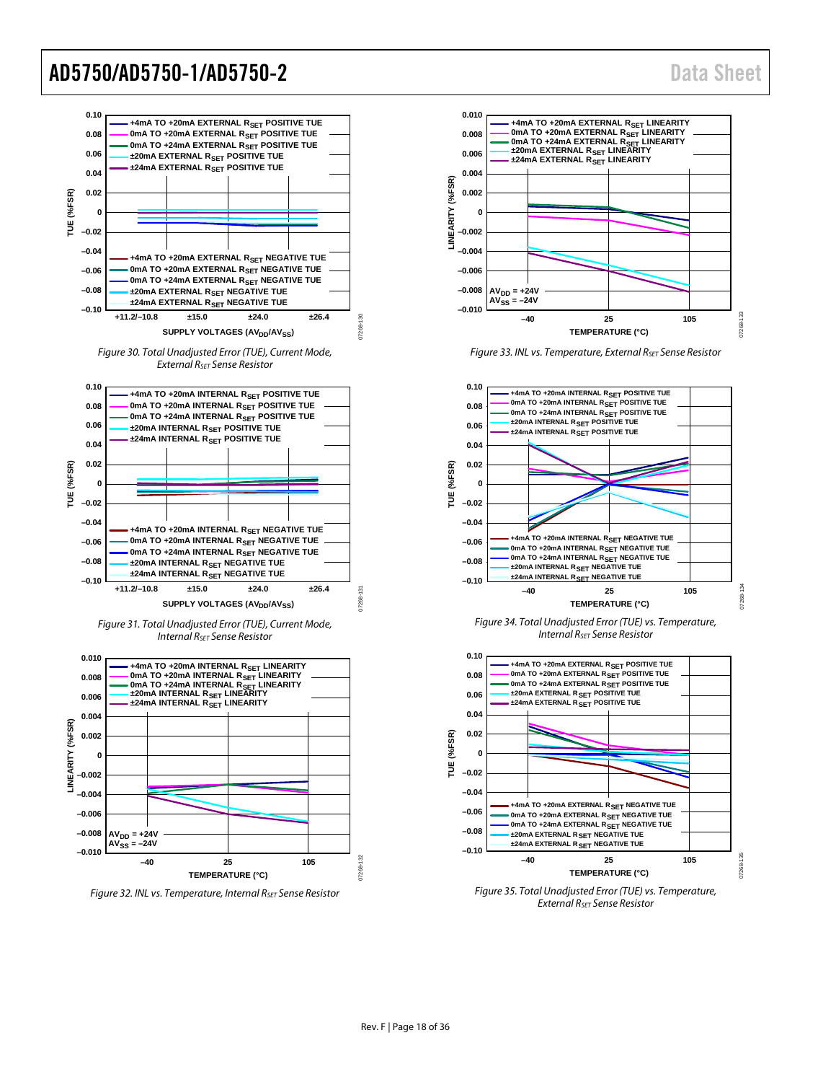07268-133

17268

07268-134

07268-135



*External RSET Sense Resistor*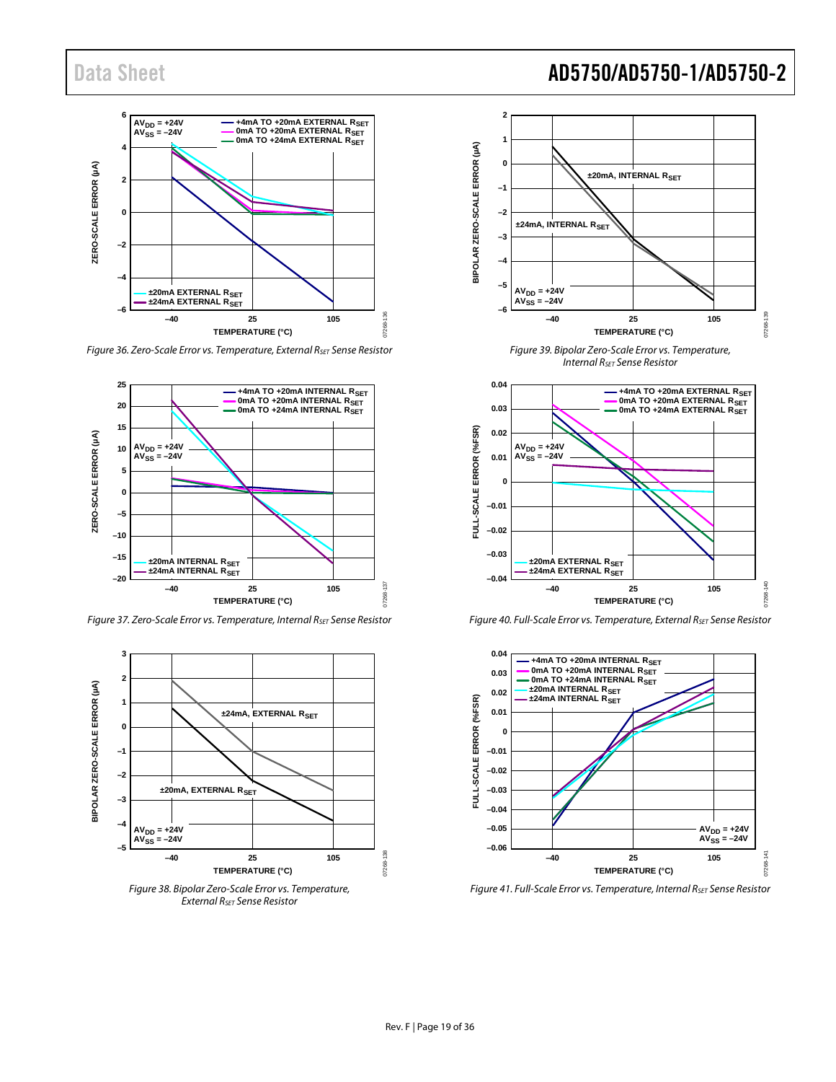

*Figure 36. Zero-Scale Error vs. Temperature, External RSET Sense Resistor*



*Figure 37. Zero-Scale Error vs. Temperature, Internal RSET Sense Resistor*



*External RSET Sense Resistor*



*Internal RSET Sense Resistor*



*Figure 40. Full-Scale Error vs. Temperature, External RSET Sense Resistor*



*Figure 41. Full-Scale Error vs. Temperature, Internal RSET Sense Resistor*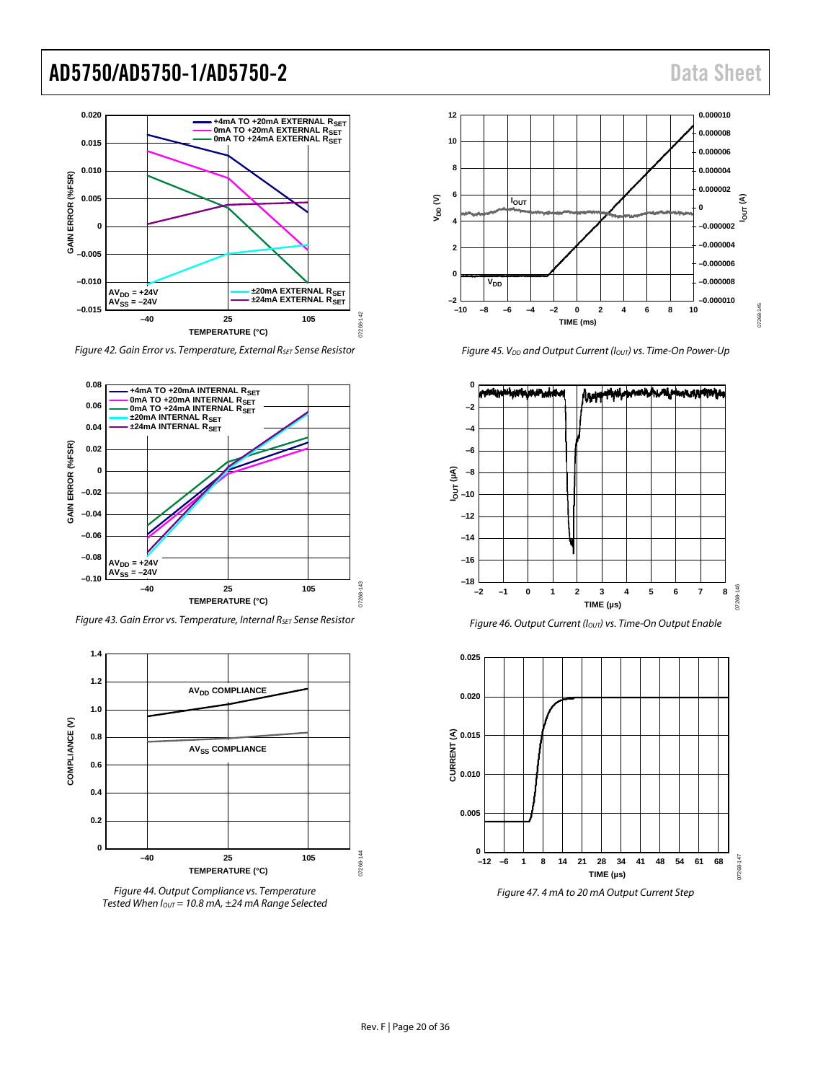

*Figure 42. Gain Error vs. Temperature, External RSET Sense Resistor* 



*Figure 43. Gain Error vs. Temperature, Internal RSET Sense Resistor*







*Figure 45. V<sub>DD</sub>* and Output Current ( $I<sub>OUT</sub>$ ) vs. Time-On Power-Up





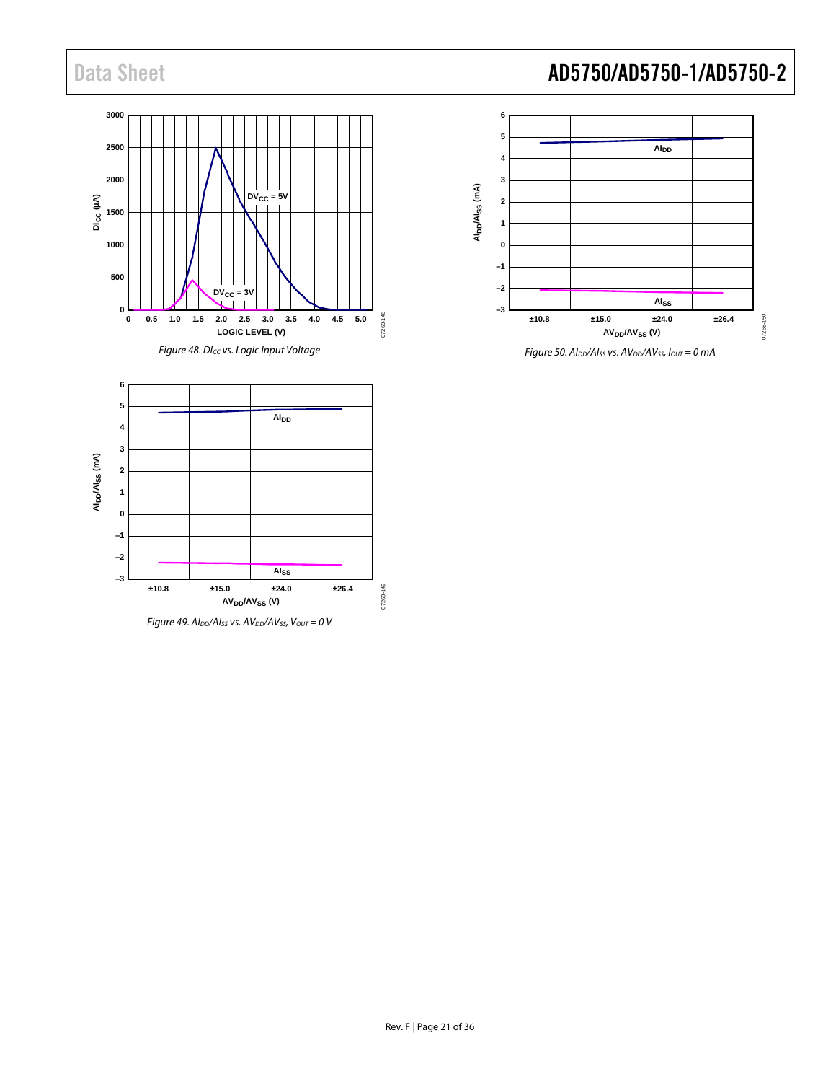



*Figure 50. AIDD/AISS vs. AVDD/AVSS, IOUT = 0 mA*

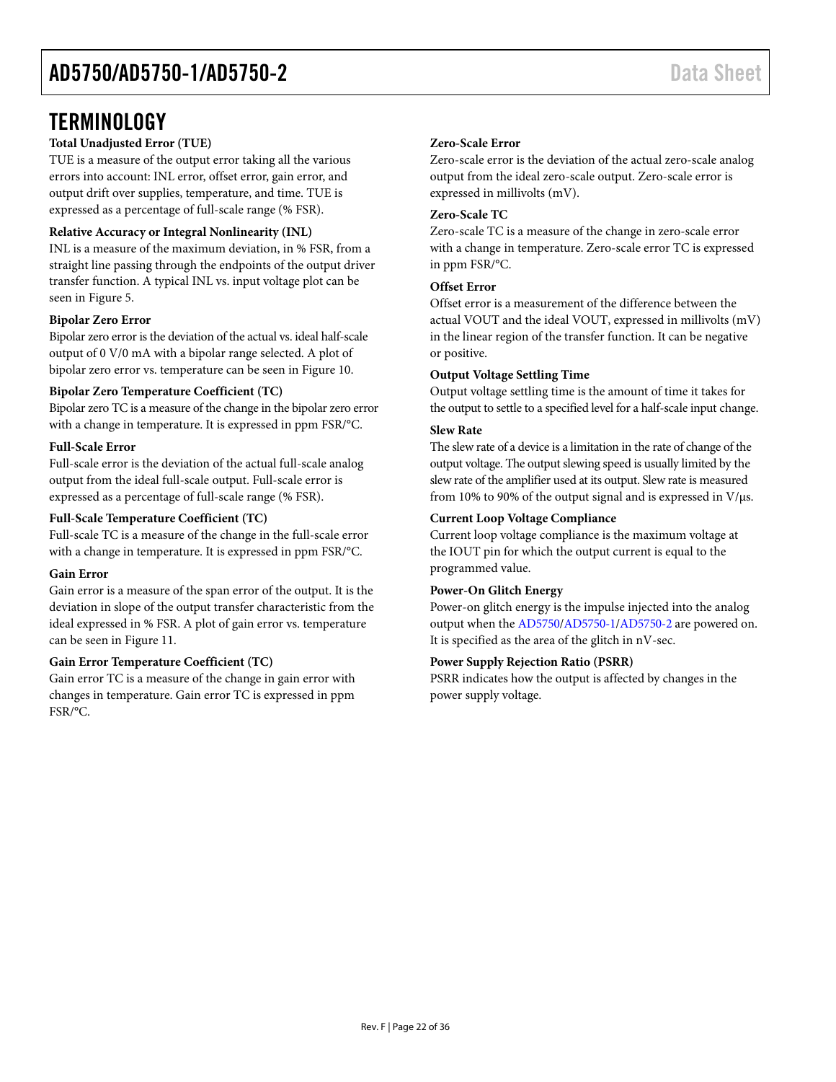### <span id="page-21-0"></span>**TERMINOLOGY**

#### **Total Unadjusted Error (TUE)**

TUE is a measure of the output error taking all the various errors into account: INL error, offset error, gain error, and output drift over supplies, temperature, and time. TUE is expressed as a percentage of full-scale range (% FSR).

#### **Relative Accuracy or Integral Nonlinearity (INL)**

INL is a measure of the maximum deviation, in % FSR, from a straight line passing through the endpoints of the output driver transfer function. A typical INL vs. input voltage plot can be seen in [Figure 5.](#page-12-2)

#### **Bipolar Zero Error**

Bipolar zero error is the deviation of the actual vs. ideal half-scale output of 0 V/0 mA with a bipolar range selected. A plot of bipolar zero error vs. temperature can be seen i[n Figure 10.](#page-12-3)

#### **Bipolar Zero Temperature Coefficient (TC)**

Bipolar zero TC is a measure of the change in the bipolar zero error with a change in temperature. It is expressed in ppm FSR/°C.

#### **Full-Scale Error**

Full-scale error is the deviation of the actual full-scale analog output from the ideal full-scale output. Full-scale error is expressed as a percentage of full-scale range (% FSR).

#### **Full-Scale Temperature Coefficient (TC)**

Full-scale TC is a measure of the change in the full-scale error with a change in temperature. It is expressed in ppm FSR/°C.

#### **Gain Error**

Gain error is a measure of the span error of the output. It is the deviation in slope of the output transfer characteristic from the ideal expressed in % FSR. A plot of gain error vs. temperature can be seen i[n Figure 11.](#page-13-0)

#### **Gain Error Temperature Coefficient (TC)**

Gain error TC is a measure of the change in gain error with changes in temperature. Gain error TC is expressed in ppm FSR/°C.

#### **Zero-Scale Error**

Zero-scale error is the deviation of the actual zero-scale analog output from the ideal zero-scale output. Zero-scale error is expressed in millivolts (mV).

#### **Zero-Scale TC**

Zero-scale TC is a measure of the change in zero-scale error with a change in temperature. Zero-scale error TC is expressed in ppm FSR/°C.

#### **Offset Error**

Offset error is a measurement of the difference between the actual VOUT and the ideal VOUT, expressed in millivolts (mV) in the linear region of the transfer function. It can be negative or positive.

#### **Output Voltage Settling Time**

Output voltage settling time is the amount of time it takes for the output to settle to a specified level for a half-scale input change.

#### **Slew Rate**

The slew rate of a device is a limitation in the rate of change of the output voltage. The output slewing speed is usually limited by the slew rate of the amplifier used at its output. Slew rate is measured from 10% to 90% of the output signal and is expressed in  $V/\mu s$ .

#### **Current Loop Voltage Compliance**

Current loop voltage compliance is the maximum voltage at the IOUT pin for which the output current is equal to the programmed value.

#### **Power-On Glitch Energy**

Power-on glitch energy is the impulse injected into the analog output when th[e AD5750](http://www.analog.com/AD5750?doc=AD5750_5750-1_5750-2.pdf)[/AD5750-1](http://www.analog.com/AD5750-1?doc=AD5750_5750-1_5750-2.pdf)[/AD5750-2](http://www.analog.com/AD5750-2?doc=AD5750_5750-1_5750-2.pdf) are powered on. It is specified as the area of the glitch in nV-sec.

#### **Power Supply Rejection Ratio (PSRR)**

PSRR indicates how the output is affected by changes in the power supply voltage.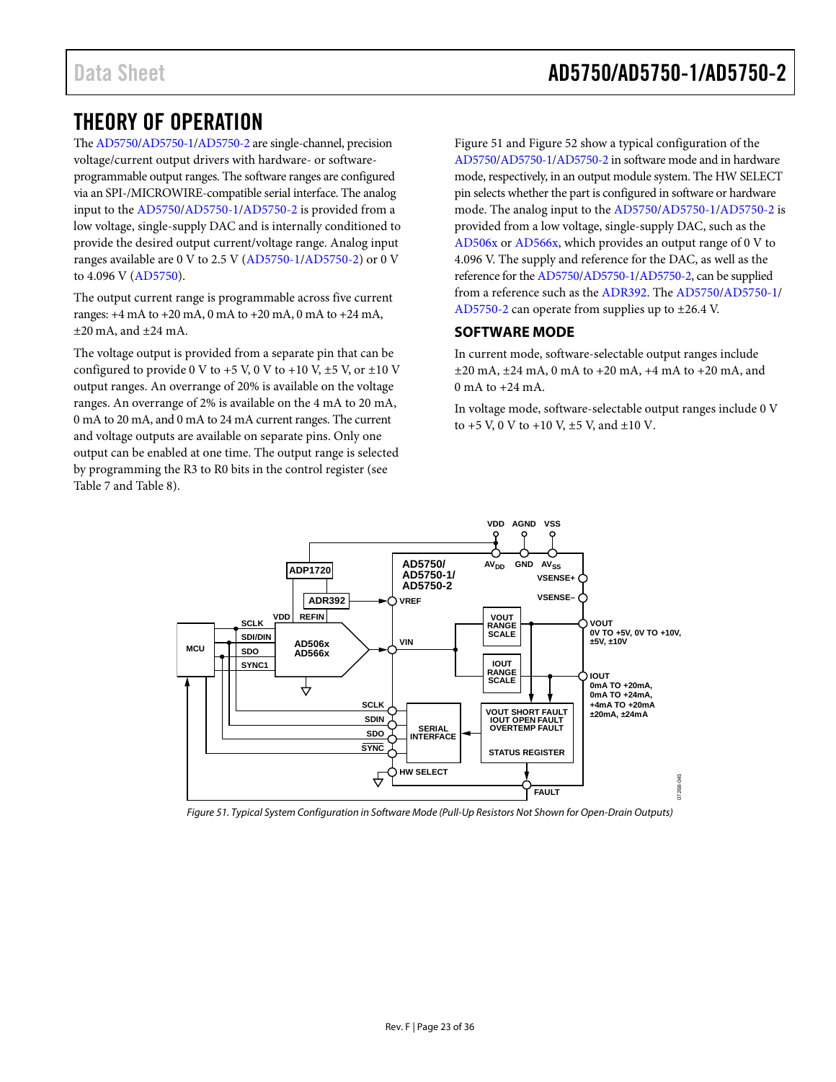### <span id="page-22-0"></span>THEORY OF OPERATION

Th[e AD5750/](http://www.analog.com/AD5750?doc=AD5750_5750-1_5750-2.pdf)[AD5750-1](http://www.analog.com/AD5750-1?doc=AD5750_5750-1_5750-2.pdf)[/AD5750-2](http://www.analog.com/AD5750-2?doc=AD5750_5750-1_5750-2.pdf) are single-channel, precision voltage/current output drivers with hardware- or softwareprogrammable output ranges. The software ranges are configured via an SPI-/MICROWIRE-compatible serial interface. The analog input to th[e AD5750](http://www.analog.com/AD5750?doc=AD5750_5750-1_5750-2.pdf)[/AD5750-1](http://www.analog.com/AD5750-1?doc=AD5750_5750-1_5750-2.pdf)[/AD5750-2](http://www.analog.com/AD5750-2?doc=AD5750_5750-1_5750-2.pdf) is provided from a low voltage, single-supply DAC and is internally conditioned to provide the desired output current/voltage range. Analog input ranges available are 0 V to 2.5 V [\(AD5750-1](http://www.analog.com/AD5750-1?doc=AD5750_5750-1_5750-2.pdf)[/AD5750-2\)](http://www.analog.com/AD5750-2?doc=AD5750_5750-1_5750-2.pdf) or 0 V to 4.096 V [\(AD5750\)](http://www.analog.com/AD5750?doc=AD5750_5750-1_5750-2.pdf).

The output current range is programmable across five current ranges: +4 mA to +20 mA, 0 mA to +20 mA, 0 mA to +24 mA,  $\pm 20$  mA, and  $\pm 24$  mA.

The voltage output is provided from a separate pin that can be configured to provide 0 V to  $+5$  V, 0 V to  $+10$  V,  $\pm$ 5 V, or  $\pm$ 10 V output ranges. An overrange of 20% is available on the voltage ranges. An overrange of 2% is available on the 4 mA to 20 mA, 0 mA to 20 mA, and 0 mA to 24 mA current ranges. The current and voltage outputs are available on separate pins. Only one output can be enabled at one time. The output range is selected by programming the R3 to R0 bits in the control register (see [Table 7](#page-25-4) an[d Table 8\)](#page-25-5).

[Figure 51](#page-22-2) an[d Figure 52](#page-23-0) show a typical configuration of the [AD5750](http://www.analog.com/AD5750?doc=AD5750_5750-1_5750-2.pdf)[/AD5750-1](http://www.analog.com/AD5750-1?doc=AD5750_5750-1_5750-2.pdf)[/AD5750-2](http://www.analog.com/AD5750-2?doc=AD5750_5750-1_5750-2.pdf) in software mode and in hardware mode, respectively, in an output module system. The HW SELECT pin selects whether the part is configured in software or hardware mode. The analog input to the [AD5750](http://www.analog.com/AD5750?doc=AD5750_5750-1_5750-2.pdf)[/AD5750-1](http://www.analog.com/AD5750-1?doc=AD5750_5750-1_5750-2.pdf)[/AD5750-2](http://www.analog.com/AD5750-2?doc=AD5750_5750-1_5750-2.pdf) is provided from a low voltage, single-supply DAC, such as the [AD506x](http://www.analog.com/AD5060?doc=AD5750_5750-1_5750-2.pdf) o[r AD566x,](http://www.analog.com/AD5663?doc=AD5750_5750-1_5750-2.pdf) which provides an output range of 0 V to 4.096 V. The supply and reference for the DAC, as well as the reference for th[e AD5750/](http://www.analog.com/AD5750?doc=AD5750_5750-1_5750-2.pdf)[AD5750-1/](http://www.analog.com/AD5750-1?doc=AD5750_5750-1_5750-2.pdf)[AD5750-2,](http://www.analog.com/AD5750-2?doc=AD5750_5750-1_5750-2.pdf) can be supplied from a reference such as the [ADR392.](http://www.analog.com/ADR392?doc=AD5750_5750-1_5750-2.pdf) Th[e AD5750](http://www.analog.com/AD5750?doc=AD5750_5750-1_5750-2.pdf)[/AD5750-1/](http://www.analog.com/AD5750-1?doc=AD5750_5750-1_5750-2.pdf) [AD5750-2](http://www.analog.com/AD5750-2?doc=AD5750_5750-1_5750-2.pdf) can operate from supplies up to ±26.4 V.

#### <span id="page-22-1"></span>**SOFTWARE MODE**

In current mode, software-selectable output ranges include  $\pm 20$  mA,  $\pm 24$  mA, 0 mA to  $\pm 20$  mA,  $\pm 4$  mA to  $\pm 20$  mA, and  $0 \text{ mA}$  to  $+24 \text{ mA}$ .

In voltage mode, software-selectable output ranges include 0 V to  $+5$  V, 0 V to  $+10$  V,  $\pm 5$  V, and  $\pm 10$  V.



<span id="page-22-2"></span>*Figure 51. Typical System Configuration in Software Mode (Pull-Up Resistors Not Shown for Open-Drain Outputs)*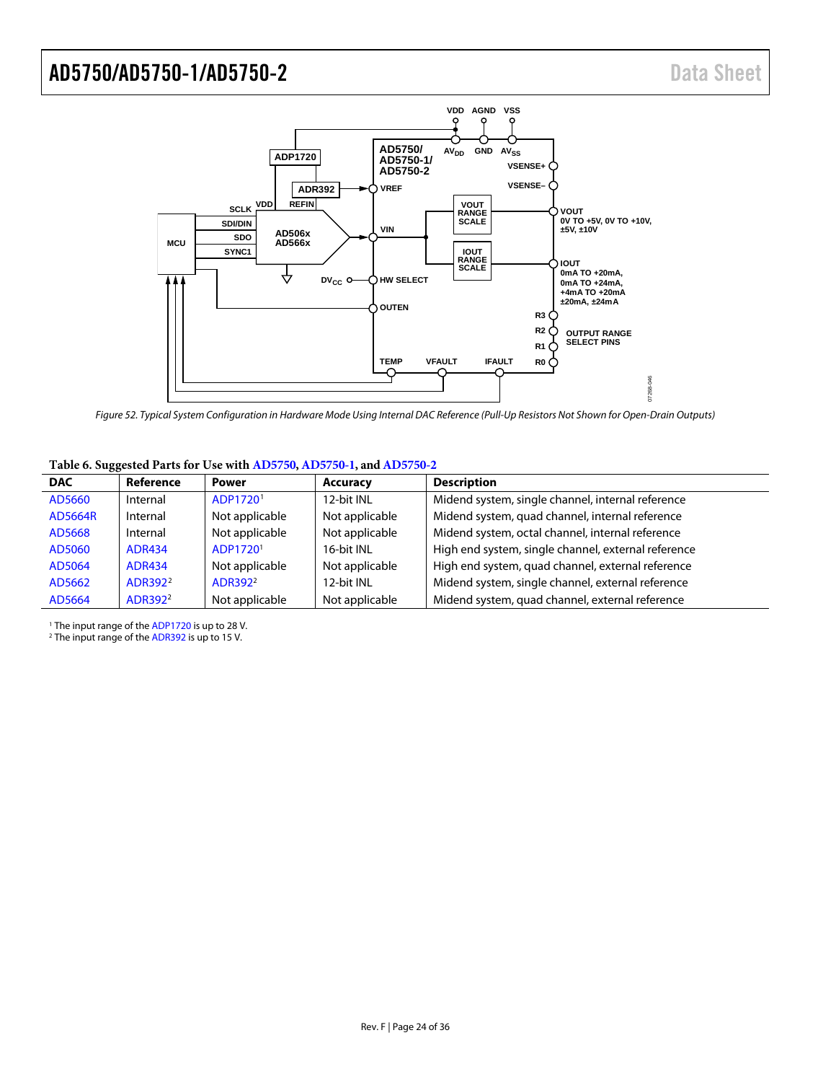

<span id="page-23-0"></span>*Figure 52. Typical System Configuration in Hardware Mode Using Internal DAC Reference (Pull-Up Resistors Not Shown for Open-Drain Outputs)*

#### **Table 6. Suggested Parts for Use with [AD5750,](http://www.analog.com/AD5750?doc=AD5750_5750-1_5750-2.pdf) [AD5750-1,](http://www.analog.com/AD5750-1?doc=AD5750_5750-1_5750-2.pdf) an[d AD5750-2](http://www.analog.com/AD5750-2?doc=AD5750_5750-1_5750-2.pdf)**

| <b>DAC</b>     | Reference           | <b>Power</b>         | <b>Accuracy</b> | <b>Description</b>                                  |
|----------------|---------------------|----------------------|-----------------|-----------------------------------------------------|
| AD5660         | Internal            | ADP1720 <sup>1</sup> | 12-bit INL      | Midend system, single channel, internal reference   |
| <b>AD5664R</b> | Internal            | Not applicable       | Not applicable  | Midend system, quad channel, internal reference     |
| AD5668         | Internal            | Not applicable       | Not applicable  | Midend system, octal channel, internal reference    |
| AD5060         | <b>ADR434</b>       | ADP1720 <sup>1</sup> | 16-bit INL      | High end system, single channel, external reference |
| AD5064         | <b>ADR434</b>       | Not applicable       | Not applicable  | High end system, quad channel, external reference   |
| AD5662         | ADR392 <sup>2</sup> | ADR392 <sup>2</sup>  | 12-bit INL      | Midend system, single channel, external reference   |
| AD5664         | ADR392 <sup>2</sup> | Not applicable       | Not applicable  | Midend system, quad channel, external reference     |

<sup>1</sup> The input range of th[e ADP1720](http://www.analog.com/ADP1720?doc=AD5750_5750-1_5750-2.pdf) is up to 28 V.

<sup>2</sup> The input range of th[e ADR392](http://www.analog.com/ADR392?doc=AD5750_5750-1_5750-2.pdf) is up to 15 V.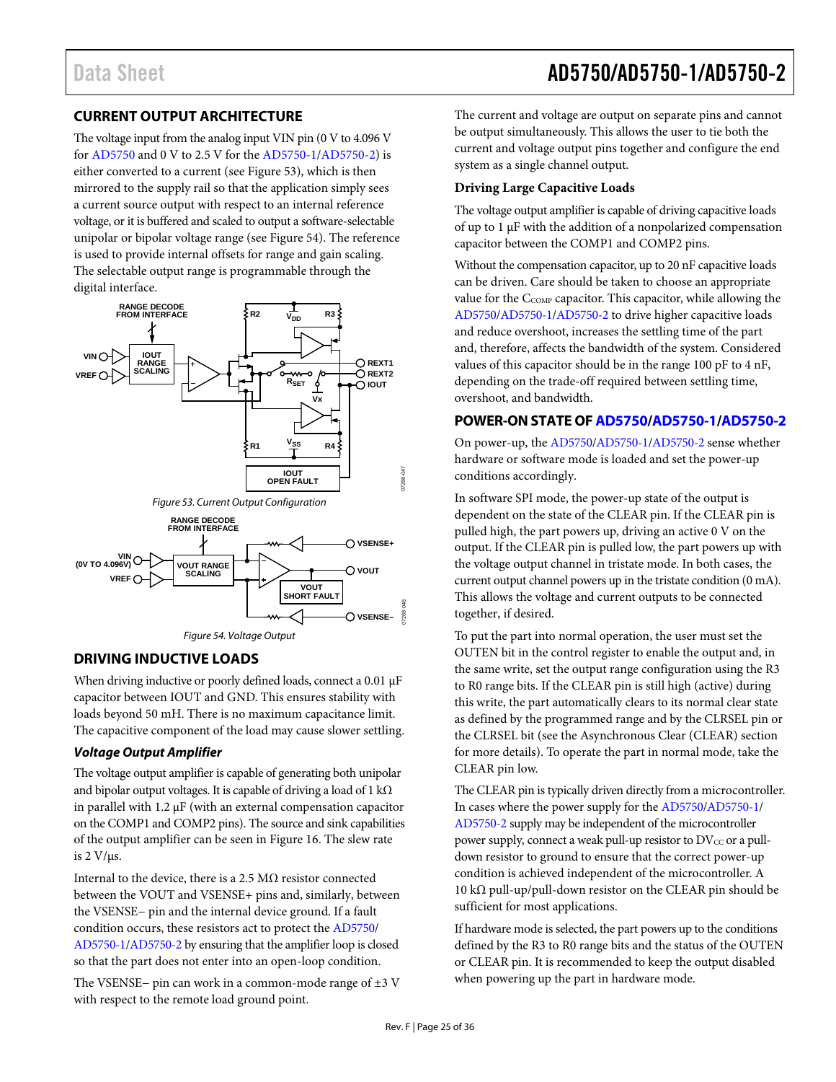### <span id="page-24-0"></span>**CURRENT OUTPUT ARCHITECTURE**

The voltage input from the analog input VIN pin (0 V to 4.096 V fo[r AD5750](http://www.analog.com/AD5750?doc=AD5750_5750-1_5750-2.pdf) and 0 V to 2.5 V for th[e AD5750-1](http://www.analog.com/AD5750-1?doc=AD5750_5750-1_5750-2.pdf)[/AD5750-2\)](http://www.analog.com/AD5750-2?doc=AD5750_5750-1_5750-2.pdf) is either converted to a current (se[e Figure 53\)](#page-24-4), which is then mirrored to the supply rail so that the application simply sees a current source output with respect to an internal reference voltage, or it is buffered and scaled to output a software-selectable unipolar or bipolar voltage range (se[e Figure 54\)](#page-24-5). The reference is used to provide internal offsets for range and gain scaling. The selectable output range is programmable through the digital interface.



#### <span id="page-24-5"></span><span id="page-24-4"></span><span id="page-24-1"></span>**DRIVING INDUCTIVE LOADS**

When driving inductive or poorly defined loads, connect a 0.01 μF capacitor between IOUT and GND. This ensures stability with loads beyond 50 mH. There is no maximum capacitance limit. The capacitive component of the load may cause slower settling.

#### **Voltage Output Amplifier**

The voltage output amplifier is capable of generating both unipolar and bipolar output voltages. It is capable of driving a load of 1 kΩ in parallel with 1.2 μF (with an external compensation capacitor on the COMP1 and COMP2 pins). The source and sink capabilities of the output amplifier can be seen i[n Figure 16.](#page-13-1) The slew rate is 2 V/μs.

Internal to the device, there is a 2.5 MΩ resistor connected between the VOUT and VSENSE+ pins and, similarly, between the VSENSE− pin and the internal device ground. If a fault condition occurs, these resistors act to protect the [AD5750/](http://www.analog.com/AD5750?doc=AD5750_5750-1_5750-2.pdf) [AD5750-1](http://www.analog.com/AD5750-1?doc=AD5750_5750-1_5750-2.pdf)[/AD5750-2](http://www.analog.com/AD5750-2?doc=AD5750_5750-1_5750-2.pdf) by ensuring that the amplifier loop is closed so that the part does not enter into an open-loop condition.

The VSENSE− pin can work in a common-mode range of ±3 V with respect to the remote load ground point.

The current and voltage are output on separate pins and cannot be output simultaneously. This allows the user to tie both the current and voltage output pins together and configure the end system as a single channel output.

#### <span id="page-24-3"></span>**Driving Large Capacitive Loads**

The voltage output amplifier is capable of driving capacitive loads of up to 1 μF with the addition of a nonpolarized compensation capacitor between the COMP1 and COMP2 pins.

Without the compensation capacitor, up to 20 nF capacitive loads can be driven. Care should be taken to choose an appropriate value for the C<sub>COMP</sub> capacitor. This capacitor, while allowing the [AD5750](http://www.analog.com/AD5750?doc=AD5750_5750-1_5750-2.pdf)[/AD5750-1](http://www.analog.com/AD5750-1?doc=AD5750_5750-1_5750-2.pdf)[/AD5750-2 t](http://www.analog.com/AD5750-2?doc=AD5750_5750-1_5750-2.pdf)o drive higher capacitive loads and reduce overshoot, increases the settling time of the part and, therefore, affects the bandwidth of the system. Considered values of this capacitor should be in the range 100 pF to 4 nF, depending on the trade-off required between settling time, overshoot, and bandwidth.

### <span id="page-24-2"></span>**POWER-ON STATE O[F AD5750/](http://www.analog.com/AD5750?doc=AD5750_5750-1_5750-2.pdf)[AD5750-1](http://www.analog.com/AD5750-1?doc=AD5750_5750-1_5750-2.pdf)[/AD5750-2](http://www.analog.com/AD5750-2?doc=AD5750_5750-1_5750-2.pdf)**

On power-up, th[e AD5750/](http://www.analog.com/AD5750?doc=AD5750_5750-1_5750-2.pdf)[AD5750-1](http://www.analog.com/AD5750-1?doc=AD5750_5750-1_5750-2.pdf)[/AD5750-2](http://www.analog.com/AD5750-2?doc=AD5750_5750-1_5750-2.pdf) sense whether hardware or software mode is loaded and set the power-up conditions accordingly.

In software SPI mode, the power-up state of the output is dependent on the state of the CLEAR pin. If the CLEAR pin is pulled high, the part powers up, driving an active 0 V on the output. If the CLEAR pin is pulled low, the part powers up with the voltage output channel in tristate mode. In both cases, the current output channel powers up in the tristate condition (0 mA). This allows the voltage and current outputs to be connected together, if desired.

To put the part into normal operation, the user must set the OUTEN bit in the control register to enable the output and, in the same write, set the output range configuration using the R3 to R0 range bits. If the CLEAR pin is still high (active) during this write, the part automatically clears to its normal clear state as defined by the programmed range and by the CLRSEL pin or the CLRSEL bit (see the [Asynchronous Clear \(CLEAR\) s](#page-28-4)ection for more details). To operate the part in normal mode, take the CLEAR pin low.

The CLEAR pin is typically driven directly from a microcontroller. In cases where the power supply for th[e AD5750](http://www.analog.com/AD5750?doc=AD5750_5750-1_5750-2.pdf)[/AD5750-1/](http://www.analog.com/AD5750-1?doc=AD5750_5750-1_5750-2.pdf) [AD5750-2](http://www.analog.com/AD5750-2?doc=AD5750_5750-1_5750-2.pdf) supply may be independent of the microcontroller power supply, connect a weak pull-up resistor to  $DV_{CC}$  or a pulldown resistor to ground to ensure that the correct power-up condition is achieved independent of the microcontroller. A 10 kΩ pull-up/pull-down resistor on the CLEAR pin should be sufficient for most applications.

If hardware mode is selected, the part powers up to the conditions defined by the R3 to R0 range bits and the status of the OUTEN or CLEAR pin. It is recommended to keep the output disabled when powering up the part in hardware mode.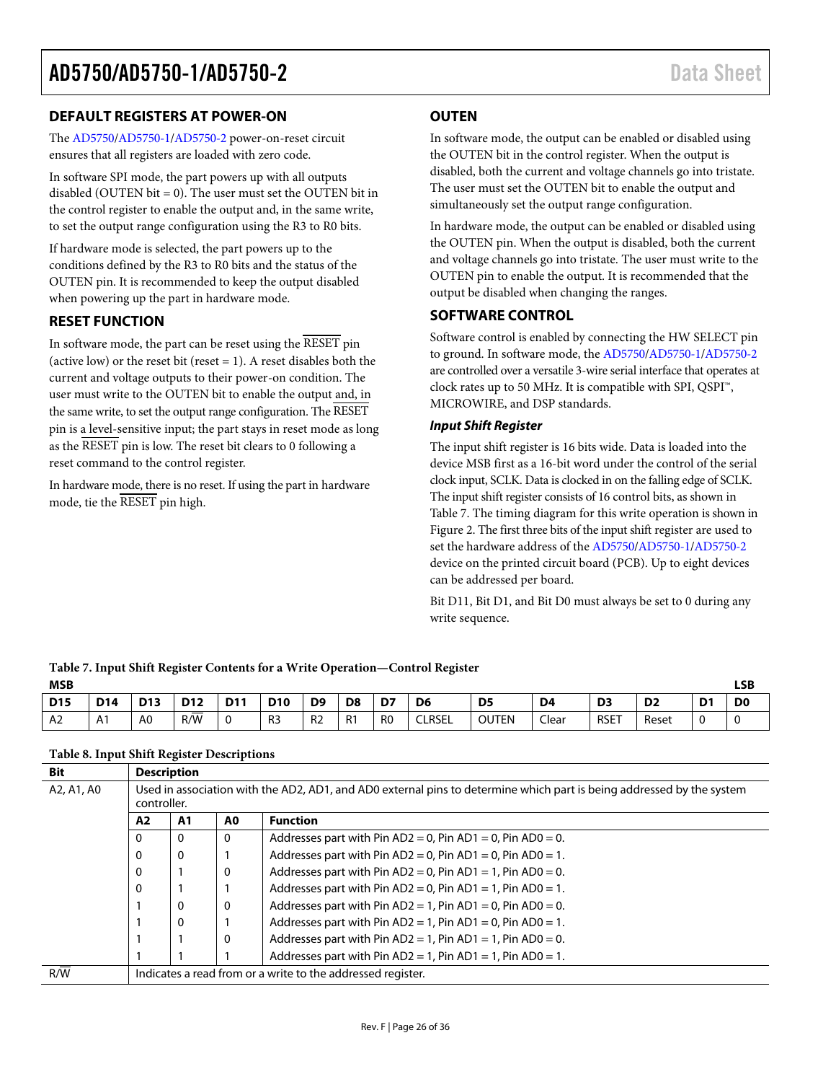#### <span id="page-25-0"></span>**DEFAULT REGISTERS AT POWER-ON**

The [AD5750](http://www.analog.com/AD5750?doc=AD5750_5750-1_5750-2.pdf)[/AD5750-1](http://www.analog.com/AD5750-1?doc=AD5750_5750-1_5750-2.pdf)[/AD5750-2](http://www.analog.com/AD5750-2?doc=AD5750_5750-1_5750-2.pdf) power-on-reset circuit ensures that all registers are loaded with zero code.

In software SPI mode, the part powers up with all outputs disabled (OUTEN bit  $= 0$ ). The user must set the OUTEN bit in the control register to enable the output and, in the same write, to set the output range configuration using the R3 to R0 bits.

If hardware mode is selected, the part powers up to the conditions defined by the R3 to R0 bits and the status of the OUTEN pin. It is recommended to keep the output disabled when powering up the part in hardware mode.

#### <span id="page-25-1"></span>**RESET FUNCTION**

In software mode, the part can be reset using the RESET pin (active low) or the reset bit (reset  $= 1$ ). A reset disables both the current and voltage outputs to their power-on condition. The user must write to the OUTEN bit to enable the output and, in the same write, to set the output range configuration. The RESET pin is a level-sensitive input; the part stays in reset mode as long as the RESET pin is low. The reset bit clears to 0 following a reset command to the control register.

In hardware mode, there is no reset. If using the part in hardware mode, tie the RESET pin high.

<span id="page-25-4"></span>**Table 7. Input Shift Register Contents for a Write Operation—Control Register**

#### <span id="page-25-2"></span>**OUTEN**

In software mode, the output can be enabled or disabled using the OUTEN bit in the control register. When the output is disabled, both the current and voltage channels go into tristate. The user must set the OUTEN bit to enable the output and simultaneously set the output range configuration.

In hardware mode, the output can be enabled or disabled using the OUTEN pin. When the output is disabled, both the current and voltage channels go into tristate. The user must write to the OUTEN pin to enable the output. It is recommended that the output be disabled when changing the ranges.

#### <span id="page-25-3"></span>**SOFTWARE CONTROL**

Software control is enabled by connecting the HW SELECT pin to ground. In software mode, the [AD5750](http://www.analog.com/AD5750?doc=AD5750_5750-1_5750-2.pdf)[/AD5750-1](http://www.analog.com/AD5750-1?doc=AD5750_5750-1_5750-2.pdf)[/AD5750-2](http://www.analog.com/AD5750-2?doc=AD5750_5750-1_5750-2.pdf) are controlled over a versatile 3-wire serial interface that operates at clock rates up to 50 MHz. It is compatible with SPI, QSPI™, MICROWIRE, and DSP standards.

#### *Input Shift Register*

The input shift register is 16 bits wide. Data is loaded into the device MSB first as a 16-bit word under the control of the serial clock input, SCLK. Data is clocked in on the falling edge of SCLK. The input shift register consists of 16 control bits, as shown in [Table 7.](#page-25-4) The timing diagram for this write operation is shown in [Figure 2.](#page-8-0) The first three bits of the input shift register are used to set the hardware address of the [AD5750](http://www.analog.com/AD5750?doc=AD5750_5750-1_5750-2.pdf)[/AD5750-1](http://www.analog.com/AD5750-1?doc=AD5750_5750-1_5750-2.pdf)[/AD5750-2](http://www.analog.com/AD5750-2?doc=AD5750_5750-1_5750-2.pdf) device on the printed circuit board (PCB). Up to eight devices can be addressed per board.

Bit D11, Bit D1, and Bit D0 must always be set to 0 during any write sequence.

| <b>MSB</b>     |            |                 |            |            |                |                |                |                |                |                |                |                |                |                | <b>LSB</b>     |
|----------------|------------|-----------------|------------|------------|----------------|----------------|----------------|----------------|----------------|----------------|----------------|----------------|----------------|----------------|----------------|
| <b>D15</b>     | <b>D14</b> | D <sub>13</sub> | <b>D12</b> | <b>D11</b> | <b>D10</b>     | D <sub>9</sub> | D <sub>8</sub> | D7             | D <sub>6</sub> | D <sub>5</sub> | D <sub>4</sub> | D <sub>3</sub> | D <sub>2</sub> | D <sub>1</sub> | D <sub>0</sub> |
| A <sub>2</sub> | A1         | A <sub>0</sub>  | =<br>R/W   | $\Omega$   | R <sub>3</sub> | R <sub>2</sub> | R <sub>1</sub> | R <sub>0</sub> | <b>CLRSEL</b>  | <b>OUTEN</b>   | Clear          | <b>RSET</b>    | Reset          | ◡              |                |

#### <span id="page-25-5"></span>**Table 8. Input Shift Register Descriptions**

| <b>Bit</b> | <b>Description</b>                                                                                                                   |    |    |                                                            |  |  |  |  |  |  |  |
|------------|--------------------------------------------------------------------------------------------------------------------------------------|----|----|------------------------------------------------------------|--|--|--|--|--|--|--|
| A2, A1, A0 | Used in association with the AD2, AD1, and AD0 external pins to determine which part is being addressed by the system<br>controller. |    |    |                                                            |  |  |  |  |  |  |  |
|            | A <sub>2</sub>                                                                                                                       | A1 | A0 | <b>Function</b>                                            |  |  |  |  |  |  |  |
|            | 0                                                                                                                                    | 0  | 0  | Addresses part with Pin AD2 = 0, Pin AD1 = 0, Pin AD0 = 0. |  |  |  |  |  |  |  |
|            | 0<br>0                                                                                                                               |    |    | Addresses part with Pin AD2 = 0, Pin AD1 = 0, Pin AD0 = 1. |  |  |  |  |  |  |  |
|            | $\Omega$                                                                                                                             |    | 0  | Addresses part with Pin AD2 = 0, Pin AD1 = 1, Pin AD0 = 0. |  |  |  |  |  |  |  |
|            | $\Omega$                                                                                                                             |    |    | Addresses part with Pin AD2 = 0, Pin AD1 = 1, Pin AD0 = 1. |  |  |  |  |  |  |  |
|            |                                                                                                                                      | 0  | 0  | Addresses part with Pin AD2 = 1, Pin AD1 = 0, Pin AD0 = 0. |  |  |  |  |  |  |  |
|            |                                                                                                                                      | 0  |    | Addresses part with Pin AD2 = 1, Pin AD1 = 0, Pin AD0 = 1. |  |  |  |  |  |  |  |
|            |                                                                                                                                      |    | 0  | Addresses part with Pin AD2 = 1, Pin AD1 = 1, Pin AD0 = 0. |  |  |  |  |  |  |  |
|            |                                                                                                                                      |    |    | Addresses part with Pin AD2 = 1, Pin AD1 = 1, Pin AD0 = 1. |  |  |  |  |  |  |  |
| R/W        | Indicates a read from or a write to the addressed register.                                                                          |    |    |                                                            |  |  |  |  |  |  |  |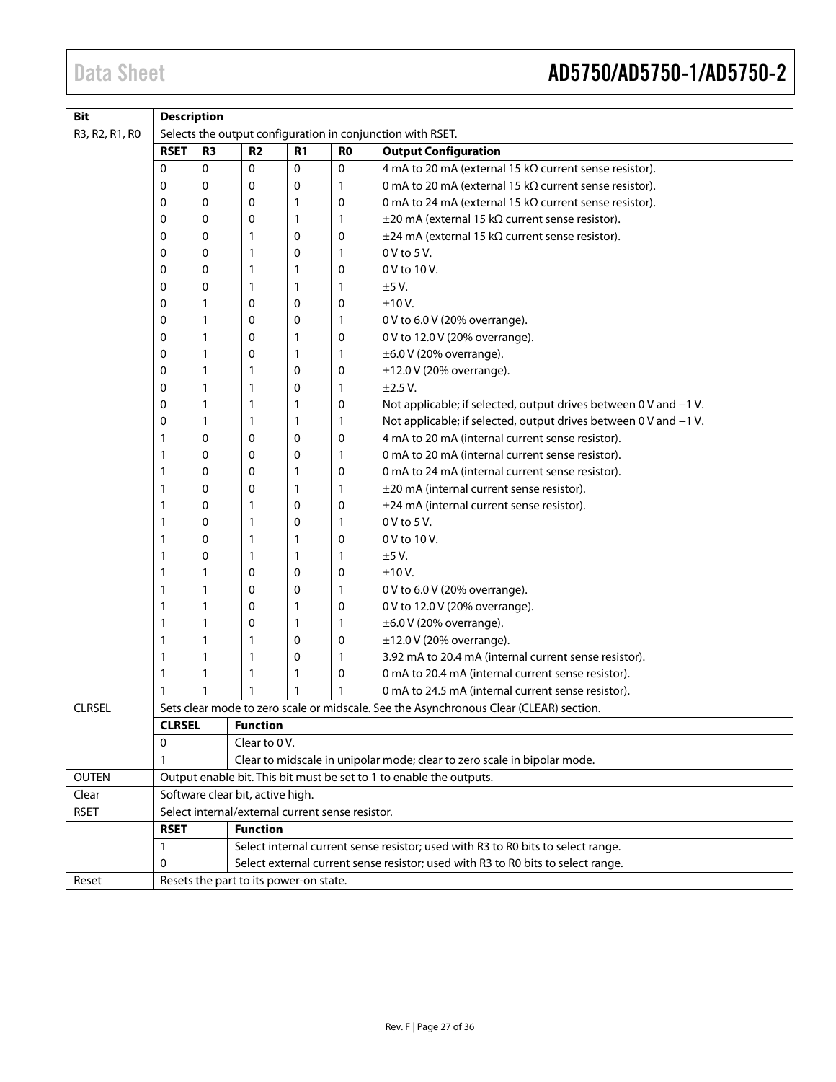| <b>Bit</b>     | <b>Description</b>                              |                |                                                  |                             |                                                          |                                                                                        |  |  |
|----------------|-------------------------------------------------|----------------|--------------------------------------------------|-----------------------------|----------------------------------------------------------|----------------------------------------------------------------------------------------|--|--|
| R3, R2, R1, R0 |                                                 |                |                                                  |                             |                                                          | Selects the output configuration in conjunction with RSET.                             |  |  |
|                | <b>RSET</b>                                     | R <sub>3</sub> | <b>R2</b>                                        | <b>Output Configuration</b> |                                                          |                                                                                        |  |  |
|                | 0                                               | 0              | $\mathbf 0$                                      | 0                           | 0                                                        | 4 mA to 20 mA (external 15 kΩ current sense resistor).                                 |  |  |
|                | 0                                               | 0              | 0                                                | 0                           | 1                                                        | 0 mA to 20 mA (external 15 kΩ current sense resistor).                                 |  |  |
|                | 0                                               | 0              | 0                                                | 1                           | 0                                                        | 0 mA to 24 mA (external 15 kΩ current sense resistor).                                 |  |  |
|                | 0                                               | 0              | 0                                                | 1                           | 1                                                        | $\pm$ 20 mA (external 15 k $\Omega$ current sense resistor).                           |  |  |
|                | 0                                               | 0<br>1         |                                                  | 0                           | 0                                                        | $\pm$ 24 mA (external 15 k $\Omega$ current sense resistor).                           |  |  |
|                | 0                                               | 0              | 1                                                | 0                           | 1                                                        | $0V$ to $5V$ .                                                                         |  |  |
|                | 0                                               | 0              | 1                                                | 1                           | 0                                                        | 0 V to 10 V.                                                                           |  |  |
|                | 0                                               | 0              | 1                                                | 1                           | 1                                                        | ±5V.                                                                                   |  |  |
|                | 0                                               | 1              | 0                                                | 0                           | 0                                                        | ±10V.                                                                                  |  |  |
|                | 0                                               | 1              | 0                                                | 0                           | 1                                                        | 0 V to 6.0 V (20% overrange).                                                          |  |  |
|                | 0                                               | $\mathbf{1}$   | 0                                                | 1                           | 0                                                        | 0 V to 12.0 V (20% overrange).                                                         |  |  |
|                | 0                                               | 1              | 0                                                | 1                           | 1                                                        | $\pm 6.0$ V (20% overrange).                                                           |  |  |
|                | 0                                               | 1              | 1                                                | 0                           | 0                                                        | $±12.0$ V (20% overrange).                                                             |  |  |
|                | 0                                               | 1              | 1                                                | 0                           | 1                                                        | ±2.5 V.                                                                                |  |  |
|                | 0                                               | $\mathbf{1}$   | 1                                                | 1                           | 0                                                        | Not applicable; if selected, output drives between 0 V and -1 V.                       |  |  |
|                | 0                                               | $\mathbf{1}$   | 1                                                | 1                           | 1                                                        | Not applicable; if selected, output drives between 0 V and -1 V.                       |  |  |
|                | 1                                               | 0              | 0                                                | 0                           | 0                                                        | 4 mA to 20 mA (internal current sense resistor).                                       |  |  |
|                | $\mathbf{1}$                                    | 0              | 0                                                | 0                           | 1                                                        | 0 mA to 20 mA (internal current sense resistor).                                       |  |  |
|                | 1                                               | 0              | 0                                                | 1                           | 0<br>1                                                   | 0 mA to 24 mA (internal current sense resistor).                                       |  |  |
|                | $\mathbf{1}$<br>0<br>0<br>1<br>1<br>0<br>1<br>1 |                | 0                                                | 1                           |                                                          | ±20 mA (internal current sense resistor).                                              |  |  |
|                |                                                 |                | 0                                                | 0                           | ±24 mA (internal current sense resistor).<br>0 V to 5 V. |                                                                                        |  |  |
|                |                                                 |                | 0                                                | 1                           |                                                          |                                                                                        |  |  |
|                | 1                                               | 0              | 1                                                | 1                           | 0                                                        | 0 V to 10 V.                                                                           |  |  |
|                | 1                                               | 0              | 1                                                | 1                           | 1                                                        | ±5V.                                                                                   |  |  |
|                | 1                                               | 1              | 0                                                | 0                           | 0                                                        | ±10V.                                                                                  |  |  |
|                | 1                                               | 1              | 0                                                | 0                           | 1                                                        | 0 V to 6.0 V (20% overrange).                                                          |  |  |
|                | 1                                               | 1              | 0                                                | 1                           | 0                                                        | 0 V to 12.0 V (20% overrange).                                                         |  |  |
|                | 1                                               | 1              | 0                                                | 1                           | 1                                                        | $\pm 6.0$ V (20% overrange).                                                           |  |  |
|                | 1                                               | 1              | 1                                                | 0                           | 0                                                        | $\pm$ 12.0 V (20% overrange).                                                          |  |  |
|                | 1                                               | 1              | 1                                                | 0                           | 1                                                        | 3.92 mA to 20.4 mA (internal current sense resistor).                                  |  |  |
|                | $\mathbf{1}$                                    | $\mathbf{1}$   | 1                                                | 1                           | 0                                                        | 0 mA to 20.4 mA (internal current sense resistor).                                     |  |  |
|                | 1                                               | 1              | 1                                                | 1                           |                                                          | 0 mA to 24.5 mA (internal current sense resistor).                                     |  |  |
| <b>CLRSEL</b>  |                                                 |                |                                                  |                             |                                                          | Sets clear mode to zero scale or midscale. See the Asynchronous Clear (CLEAR) section. |  |  |
|                | <b>CLRSEL</b>                                   |                | Function                                         |                             |                                                          |                                                                                        |  |  |
|                | 0                                               |                | Clear to 0V.                                     |                             |                                                          |                                                                                        |  |  |
|                | 1                                               |                |                                                  |                             |                                                          | Clear to midscale in unipolar mode; clear to zero scale in bipolar mode.               |  |  |
| <b>OUTEN</b>   |                                                 |                |                                                  |                             |                                                          | Output enable bit. This bit must be set to 1 to enable the outputs.                    |  |  |
| Clear          |                                                 |                | Software clear bit, active high.                 |                             |                                                          |                                                                                        |  |  |
| <b>RSET</b>    |                                                 |                | Select internal/external current sense resistor. |                             |                                                          |                                                                                        |  |  |
|                | <b>RSET</b>                                     |                | <b>Function</b>                                  |                             |                                                          |                                                                                        |  |  |
|                | $\mathbf{1}$                                    |                |                                                  |                             |                                                          | Select internal current sense resistor; used with R3 to R0 bits to select range.       |  |  |
|                | 0                                               |                |                                                  |                             |                                                          | Select external current sense resistor; used with R3 to R0 bits to select range.       |  |  |
| Reset          |                                                 |                | Resets the part to its power-on state.           |                             |                                                          |                                                                                        |  |  |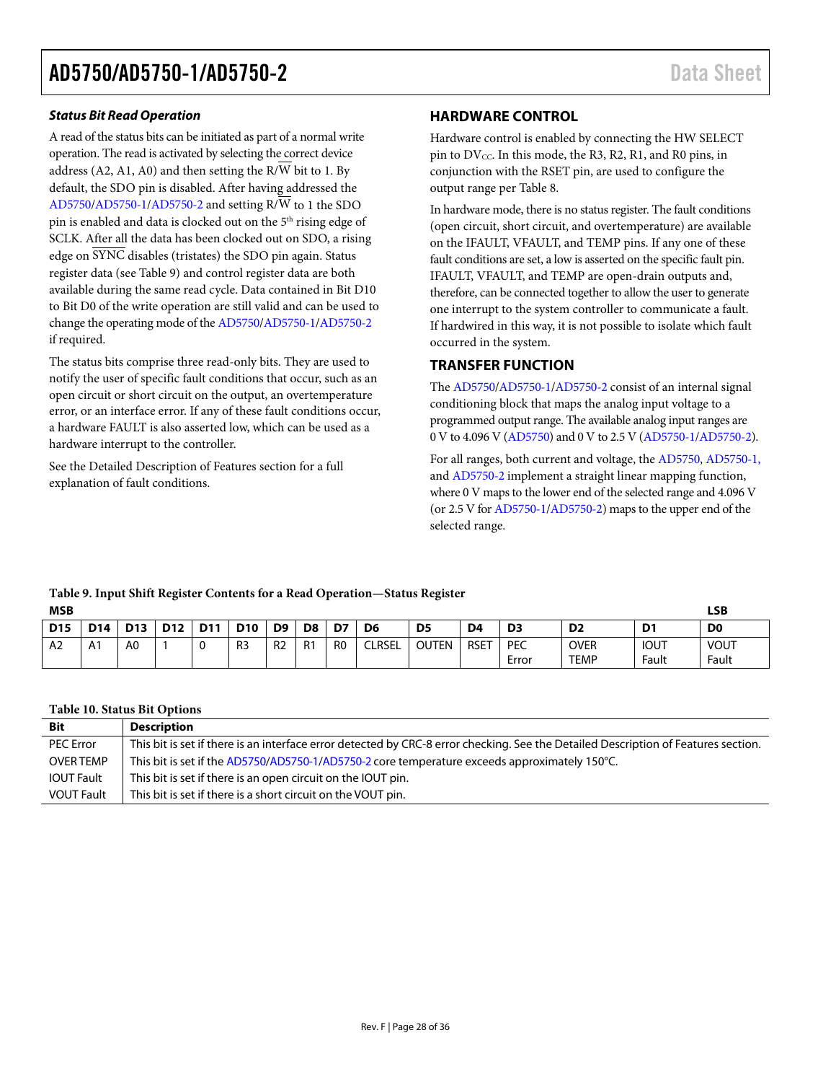#### *Status Bit Read Operation*

A read of the status bits can be initiated as part of a normal write operation. The read is activated by selecting the correct device address (A2, A1, A0) and then setting the R/W bit to 1. By default, the SDO pin is disabled. After having addressed the [AD5750](http://www.analog.com/AD5750?doc=AD5750_5750-1_5750-2.pdf)[/AD5750-1](http://www.analog.com/AD5750-1?doc=AD5750_5750-1_5750-2.pdf)[/AD5750-2](http://www.analog.com/AD5750-2?doc=AD5750_5750-1_5750-2.pdf) and setting  $R/\overline{W}$  to 1 the SDO pin is enabled and data is clocked out on the 5<sup>th</sup> rising edge of SCLK. After all the data has been clocked out on SDO, a rising edge on SYNC disables (tristates) the SDO pin again. Status register data (see [Table 9\)](#page-27-2) and control register data are both available during the same read cycle. Data contained in Bit D10 to Bit D0 of the write operation are still valid and can be used to change the operating mode of th[e AD5750](http://www.analog.com/AD5750?doc=AD5750_5750-1_5750-2.pdf)[/AD5750-1](http://www.analog.com/AD5750-1?doc=AD5750_5750-1_5750-2.pdf)[/AD5750-2](http://www.analog.com/AD5750-2?doc=AD5750_5750-1_5750-2.pdf) if required.

The status bits comprise three read-only bits. They are used to notify the user of specific fault conditions that occur, such as an open circuit or short circuit on the output, an overtemperature error, or an interface error. If any of these fault conditions occur, a hardware FAULT is also asserted low, which can be used as a hardware interrupt to the controller.

See the [Detailed Description of Features](#page-28-0) section for a full explanation of fault conditions.

#### <span id="page-27-0"></span>**HARDWARE CONTROL**

Hardware control is enabled by connecting the HW SELECT pin to  $DV_{\text{CC}}$ . In this mode, the R3, R2, R1, and R0 pins, in conjunction with the RSET pin, are used to configure the output range pe[r Table 8.](#page-25-5) 

In hardware mode, there is no status register. The fault conditions (open circuit, short circuit, and overtemperature) are available on the IFAULT, VFAULT, and TEMP pins. If any one of these fault conditions are set, a low is asserted on the specific fault pin. IFAULT, VFAULT, and TEMP are open-drain outputs and, therefore, can be connected together to allow the user to generate one interrupt to the system controller to communicate a fault. If hardwired in this way, it is not possible to isolate which fault occurred in the system.

#### <span id="page-27-1"></span>**TRANSFER FUNCTION**

The [AD5750](http://www.analog.com/AD5750?doc=AD5750_5750-1_5750-2.pdf)[/AD5750-1](http://www.analog.com/AD5750-1?doc=AD5750_5750-1_5750-2.pdf)[/AD5750-2](http://www.analog.com/AD5750-2?doc=AD5750_5750-1_5750-2.pdf) consist of an internal signal conditioning block that maps the analog input voltage to a programmed output range. The available analog input ranges are 0 V to 4.096 V [\(AD5750\)](http://www.analog.com/AD5750?doc=AD5750_5750-1_5750-2.pdf) and 0 V to 2.5 V [\(AD5750-1/](http://www.analog.com/AD5750-1?doc=AD5750_5750-1_5750-2.pdf)[AD5750-2\)](http://www.analog.com/AD5750-2?doc=AD5750_5750-1_5750-2.pdf).

For all ranges, both current and voltage, the [AD5750,](http://www.analog.com/AD5750?doc=AD5750_5750-1_5750-2.pdf) [AD5750-1,](http://www.analog.com/AD5750-1?doc=AD5750_5750-1_5750-2.pdf) an[d AD5750-2](http://www.analog.com/AD5750-2?doc=AD5750_5750-1_5750-2.pdf) implement a straight linear mapping function, where 0 V maps to the lower end of the selected range and 4.096 V (or 2.5 V fo[r AD5750-1](http://www.analog.com/AD5750-1?doc=AD5750_5750-1_5750-2.pdf)[/AD5750-2\)](http://www.analog.com/AD5750-2?doc=AD5750_5750-1_5750-2.pdf) maps to the upper end of the selected range.

#### <span id="page-27-2"></span>**Table 9. Input Shift Register Contents for a Read Operation—Status Register MSB LSB**

|            |                 |                 |                 |                 |                |                |                |                |                |                |                | ∼                                               |                            |                      |                      |
|------------|-----------------|-----------------|-----------------|-----------------|----------------|----------------|----------------|----------------|----------------|----------------|----------------|-------------------------------------------------|----------------------------|----------------------|----------------------|
| <b>D15</b> | D <sub>14</sub> | D <sub>13</sub> | D <sub>12</sub> | D <sub>11</sub> | <b>D10</b>     | D <sub>9</sub> | D <sub>8</sub> | D7             | D <sub>6</sub> | D <sub>5</sub> | D <sub>4</sub> | D <sub>3</sub>                                  | D <sub>2</sub>             | D <sub>1</sub>       | D <sub>0</sub>       |
| A2         |                 | A0              |                 | $\sqrt{2}$<br>◡ | R <sub>3</sub> | R <sub>2</sub> | R1             | R <sub>0</sub> | <b>CLRSEL</b>  | <b>OUTEN</b>   | <b>RSET</b>    | <b>PEC</b><br>$\overline{\phantom{0}}$<br>Error | <b>OVER</b><br><b>TEMP</b> | <b>IOUT</b><br>Fault | <b>VOUT</b><br>Fault |

#### **Table 10. Status Bit Options**

| <b>Bit</b>        | <b>Description</b>                                                                                                                 |
|-------------------|------------------------------------------------------------------------------------------------------------------------------------|
| <b>PEC Error</b>  | This bit is set if there is an interface error detected by CRC-8 error checking. See the Detailed Description of Features section. |
| <b>OVER TEMP</b>  | This bit is set if the AD5750/AD5750-1/AD5750-2 core temperature exceeds approximately 150°C.                                      |
| <b>IOUT Fault</b> | This bit is set if there is an open circuit on the IOUT pin.                                                                       |
| <b>VOUT Fault</b> | This bit is set if there is a short circuit on the VOUT pin.                                                                       |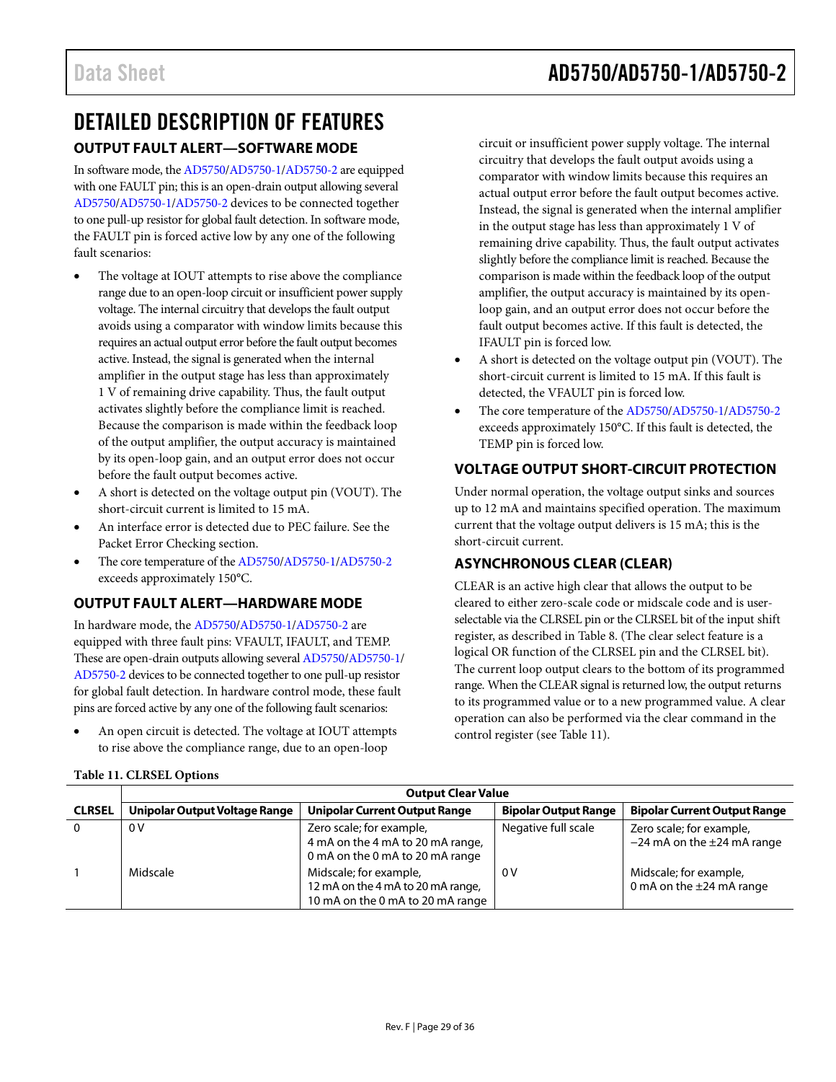### <span id="page-28-1"></span><span id="page-28-0"></span>DETAILED DESCRIPTION OF FEATURES **OUTPUT FAULT ALERT—SOFTWARE MODE**

In software mode, th[e AD5750](http://www.analog.com/AD5750?doc=AD5750_5750-1_5750-2.pdf)[/AD5750-1](http://www.analog.com/AD5750-1?doc=AD5750_5750-1_5750-2.pdf)[/AD5750-2](http://www.analog.com/AD5750-2?doc=AD5750_5750-1_5750-2.pdf) are equipped with one FAULT pin; this is an open-drain output allowing several [AD5750](http://www.analog.com/AD5750?doc=AD5750_5750-1_5750-2.pdf)[/AD5750-1](http://www.analog.com/AD5750-1?doc=AD5750_5750-1_5750-2.pdf)[/AD5750-2](http://www.analog.com/AD5750-2?doc=AD5750_5750-1_5750-2.pdf) devices to be connected together to one pull-up resistor for global fault detection. In software mode, the FAULT pin is forced active low by any one of the following fault scenarios:

- The voltage at IOUT attempts to rise above the compliance range due to an open-loop circuit or insufficient power supply voltage. The internal circuitry that develops the fault output avoids using a comparator with window limits because this requires an actual output error before the fault output becomes active. Instead, the signal is generated when the internal amplifier in the output stage has less than approximately 1 V of remaining drive capability. Thus, the fault output activates slightly before the compliance limit is reached. Because the comparison is made within the feedback loop of the output amplifier, the output accuracy is maintained by its open-loop gain, and an output error does not occur before the fault output becomes active.
- A short is detected on the voltage output pin (VOUT). The short-circuit current is limited to 15 mA.
- An interface error is detected due to PEC failure. See the [Packet Error Checking](#page-29-2) section.
- The core temperature of th[e AD5750/](http://www.analog.com/AD5750?doc=AD5750_5750-1_5750-2.pdf)[AD5750-1](http://www.analog.com/AD5750-1?doc=AD5750_5750-1_5750-2.pdf)[/AD5750-2](http://www.analog.com/AD5750-2?doc=AD5750_5750-1_5750-2.pdf) exceeds approximately 150°C.

### <span id="page-28-2"></span>**OUTPUT FAULT ALERT—HARDWARE MODE**

In hardware mode, th[e AD5750/](http://www.analog.com/AD5750?doc=AD5750_5750-1_5750-2.pdf)[AD5750-1](http://www.analog.com/AD5750-1?doc=AD5750_5750-1_5750-2.pdf)[/AD5750-2](http://www.analog.com/AD5750-2?doc=AD5750_5750-1_5750-2.pdf) are equipped with three fault pins: VFAULT, IFAULT, and TEMP. These are open-drain outputs allowing severa[l AD5750/](http://www.analog.com/AD5750?doc=AD5750_5750-1_5750-2.pdf)[AD5750-1/](http://www.analog.com/AD5750-1?doc=AD5750_5750-1_5750-2.pdf) [AD5750-2](http://www.analog.com/AD5750-2?doc=AD5750_5750-1_5750-2.pdf) devices to be connected together to one pull-up resistor for global fault detection. In hardware control mode, these fault pins are forced active by any one of the following fault scenarios:

An open circuit is detected. The voltage at IOUT attempts to rise above the compliance range, due to an open-loop

circuit or insufficient power supply voltage. The internal circuitry that develops the fault output avoids using a comparator with window limits because this requires an actual output error before the fault output becomes active. Instead, the signal is generated when the internal amplifier in the output stage has less than approximately 1 V of remaining drive capability. Thus, the fault output activates slightly before the compliance limit is reached. Because the comparison is made within the feedback loop of the output amplifier, the output accuracy is maintained by its openloop gain, and an output error does not occur before the fault output becomes active. If this fault is detected, the IFAULT pin is forced low.

- A short is detected on the voltage output pin (VOUT). The short-circuit current is limited to 15 mA. If this fault is detected, the VFAULT pin is forced low.
- The core temperature of the [AD5750/](http://www.analog.com/AD5750?doc=AD5750_5750-1_5750-2.pdf)[AD5750-1](http://www.analog.com/AD5750-1?doc=AD5750_5750-1_5750-2.pdf)[/AD5750-2](http://www.analog.com/AD5750-2?doc=AD5750_5750-1_5750-2.pdf) exceeds approximately 150°C. If this fault is detected, the TEMP pin is forced low.

### <span id="page-28-3"></span>**VOLTAGE OUTPUT SHORT-CIRCUIT PROTECTION**

Under normal operation, the voltage output sinks and sources up to 12 mA and maintains specified operation. The maximum current that the voltage output delivers is 15 mA; this is the short-circuit current.

### <span id="page-28-4"></span>**ASYNCHRONOUS CLEAR (CLEAR)**

CLEAR is an active high clear that allows the output to be cleared to either zero-scale code or midscale code and is userselectable via the CLRSEL pin or the CLRSEL bit of the input shift register, as described i[n Table 8.](#page-25-5) (The clear select feature is a logical OR function of the CLRSEL pin and the CLRSEL bit). The current loop output clears to the bottom of its programmed range. When the CLEAR signal is returned low, the output returns to its programmed value or to a new programmed value. A clear operation can also be performed via the clear command in the control register (see [Table 11\)](#page-28-5).

|               | <b>Output Clear Value</b>     |                                                                                                 |                             |                                                               |  |  |  |  |  |  |  |  |  |
|---------------|-------------------------------|-------------------------------------------------------------------------------------------------|-----------------------------|---------------------------------------------------------------|--|--|--|--|--|--|--|--|--|
| <b>CLRSEL</b> | Unipolar Output Voltage Range | <b>Unipolar Current Output Range</b>                                                            | <b>Bipolar Output Range</b> | <b>Bipolar Current Output Range</b>                           |  |  |  |  |  |  |  |  |  |
|               | 0V                            | Zero scale; for example,<br>4 mA on the 4 mA to 20 mA range,<br>0 mA on the 0 mA to 20 mA range | Negative full scale         | Zero scale; for example,<br>$-24$ mA on the $\pm 24$ mA range |  |  |  |  |  |  |  |  |  |
|               | Midscale                      | Midscale; for example,<br>12 mA on the 4 mA to 20 mA range,<br>10 mA on the 0 mA to 20 mA range | 0 V                         | Midscale; for example,<br>0 mA on the $\pm$ 24 mA range       |  |  |  |  |  |  |  |  |  |

#### <span id="page-28-5"></span>**Table 11. CLRSEL Options**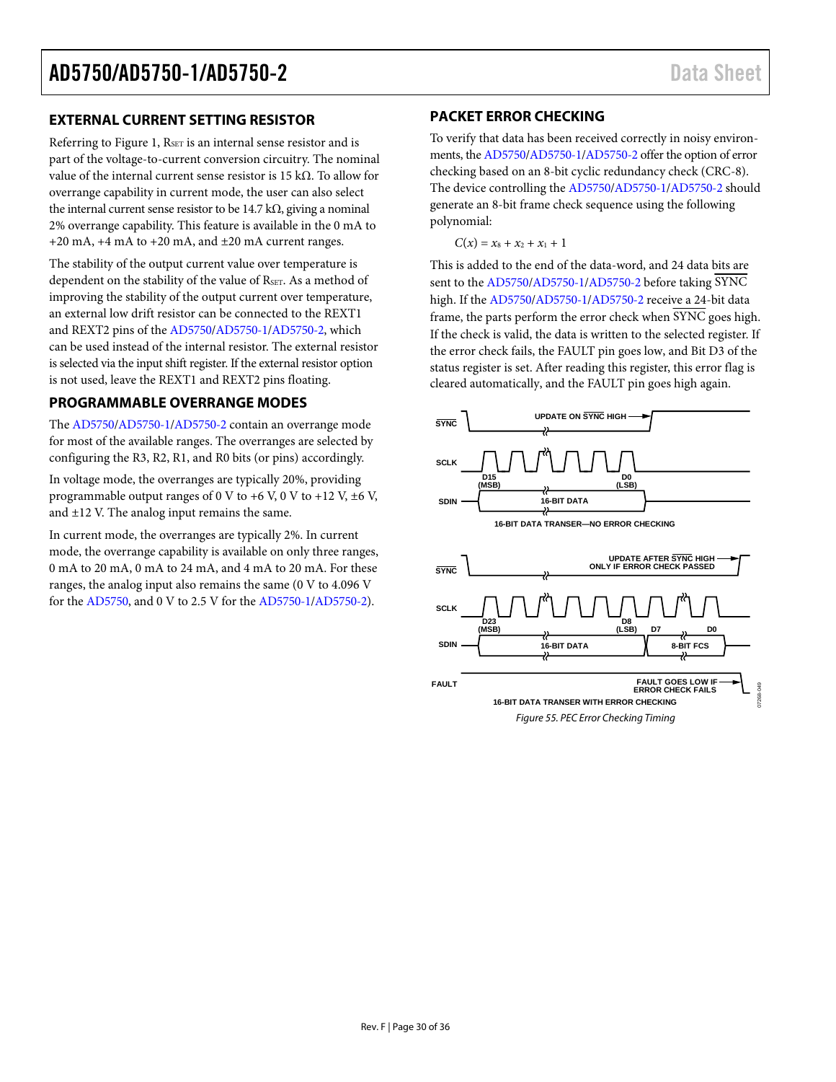#### <span id="page-29-0"></span>**EXTERNAL CURRENT SETTING RESISTOR**

Referring to [Figure 1,](#page-2-1) RSET is an internal sense resistor and is part of the voltage-to-current conversion circuitry. The nominal value of the internal current sense resistor is 15 kΩ. To allow for overrange capability in current mode, the user can also select the internal current sense resistor to be 14.7 k $\Omega$ , giving a nominal 2% overrange capability. This feature is available in the 0 mA to +20 mA, +4 mA to +20 mA, and ±20 mA current ranges.

The stability of the output current value over temperature is dependent on the stability of the value of RSET. As a method of improving the stability of the output current over temperature, an external low drift resistor can be connected to the REXT1 and REXT2 pins of th[e AD5750](http://www.analog.com/AD5750?doc=AD5750_5750-1_5750-2.pdf)[/AD5750-1](http://www.analog.com/AD5750-1?doc=AD5750_5750-1_5750-2.pdf)[/AD5750-2,](http://www.analog.com/AD5750-2?doc=AD5750_5750-1_5750-2.pdf) which can be used instead of the internal resistor. The external resistor is selected via the input shift register. If the external resistor option is not used, leave the REXT1 and REXT2 pins floating.

#### <span id="page-29-1"></span>**PROGRAMMABLE OVERRANGE MODES**

The [AD5750](http://www.analog.com/AD5750?doc=AD5750_5750-1_5750-2.pdf)[/AD5750-1](http://www.analog.com/AD5750-1?doc=AD5750_5750-1_5750-2.pdf)[/AD5750-2](http://www.analog.com/AD5750-2?doc=AD5750_5750-1_5750-2.pdf) contain an overrange mode for most of the available ranges. The overranges are selected by configuring the R3, R2, R1, and R0 bits (or pins) accordingly.

In voltage mode, the overranges are typically 20%, providing programmable output ranges of 0 V to  $+6$  V, 0 V to  $+12$  V,  $\pm 6$  V, and ±12 V. The analog input remains the same.

In current mode, the overranges are typically 2%. In current mode, the overrange capability is available on only three ranges, 0 mA to 20 mA, 0 mA to 24 mA, and 4 mA to 20 mA. For these ranges, the analog input also remains the same (0 V to 4.096 V for th[e AD5750,](http://www.analog.com/AD5750?doc=AD5750_5750-1_5750-2.pdf) and 0 V to 2.5 V for th[e AD5750-1](http://www.analog.com/AD5750-1?doc=AD5750_5750-1_5750-2.pdf)[/AD5750-2\)](http://www.analog.com/AD5750-2?doc=AD5750_5750-1_5750-2.pdf).

#### <span id="page-29-2"></span>**PACKET ERROR CHECKING**

To verify that data has been received correctly in noisy environments, th[e AD5750](http://www.analog.com/AD5750?doc=AD5750_5750-1_5750-2.pdf)[/AD5750-1](http://www.analog.com/AD5750-1?doc=AD5750_5750-1_5750-2.pdf)[/AD5750-2](http://www.analog.com/AD5750-2?doc=AD5750_5750-1_5750-2.pdf) offer the option of error checking based on an 8-bit cyclic redundancy check (CRC-8). The device controlling th[e AD5750](http://www.analog.com/AD5750?doc=AD5750_5750-1_5750-2.pdf)[/AD5750-1](http://www.analog.com/AD5750-1?doc=AD5750_5750-1_5750-2.pdf)[/AD5750-2 s](http://www.analog.com/AD5750-2?doc=AD5750_5750-1_5750-2.pdf)hould generate an 8-bit frame check sequence using the following polynomial:

 $C(x) = x_8 + x_2 + x_1 + 1$ 

This is added to the end of the data-word, and 24 data bits are sent to th[e AD5750/](http://www.analog.com/AD5750?doc=AD5750_5750-1_5750-2.pdf)[AD5750-1/](http://www.analog.com/AD5750-1?doc=AD5750_5750-1_5750-2.pdf)[AD5750-2 b](http://www.analog.com/AD5750-2?doc=AD5750_5750-1_5750-2.pdf)efore taking SYNC high. If th[e AD5750/](http://www.analog.com/AD5750?doc=AD5750_5750-1_5750-2.pdf)[AD5750-1](http://www.analog.com/AD5750-1?doc=AD5750_5750-1_5750-2.pdf)[/AD5750-2 r](http://www.analog.com/AD5750-2?doc=AD5750_5750-1_5750-2.pdf)eceive a 24-bit data frame, the parts perform the error check when SYNC goes high. If the check is valid, the data is written to the selected register. If the error check fails, the FAULT pin goes low, and Bit D3 of the status register is set. After reading this register, this error flag is cleared automatically, and the FAULT pin goes high again.

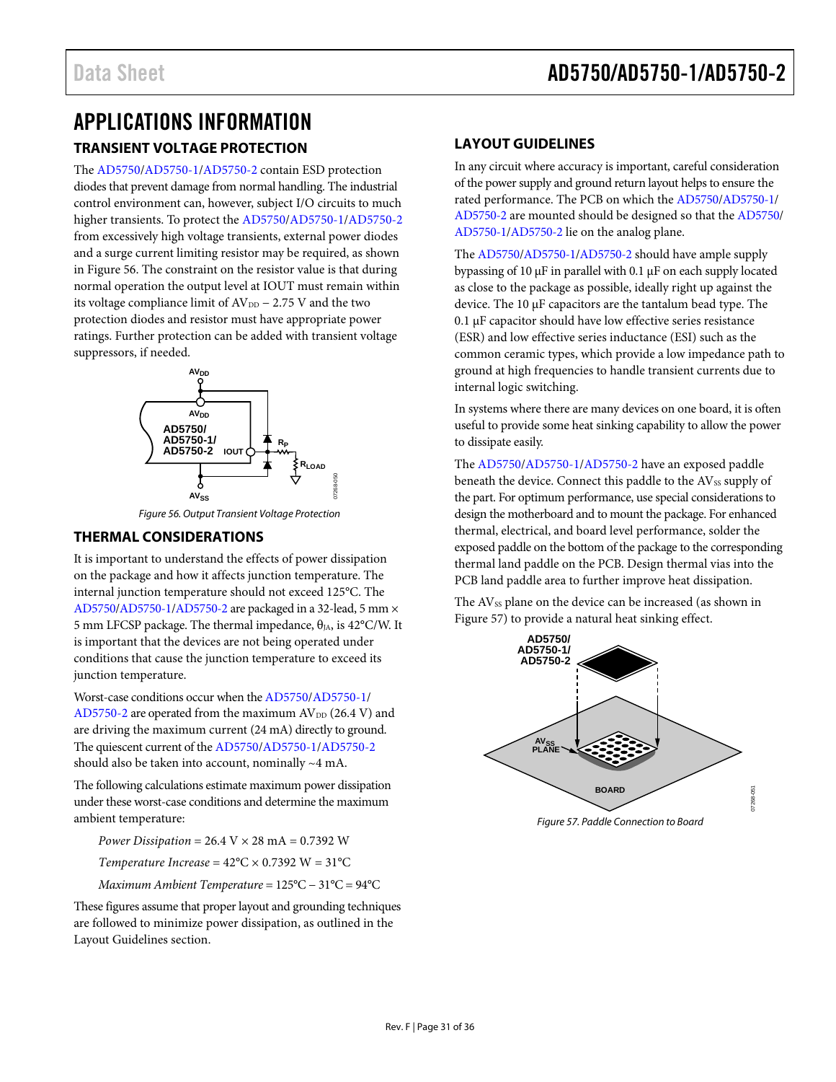### <span id="page-30-1"></span><span id="page-30-0"></span>APPLICATIONS INFORMATION **TRANSIENT VOLTAGE PROTECTION**

The [AD5750/](http://www.analog.com/AD5750?doc=AD5750_5750-1_5750-2.pdf)[AD5750-1/](http://www.analog.com/AD5750-1?doc=AD5750_5750-1_5750-2.pdf)[AD5750-2 c](http://www.analog.com/AD5750-2?doc=AD5750_5750-1_5750-2.pdf)ontain ESD protection diodes that prevent damage from normal handling. The industrial control environment can, however, subject I/O circuits to much higher transients. To protect th[e AD5750/](http://www.analog.com/AD5750?doc=AD5750_5750-1_5750-2.pdf)[AD5750-1](http://www.analog.com/AD5750-1?doc=AD5750_5750-1_5750-2.pdf)[/AD5750-2](http://www.analog.com/AD5750-2?doc=AD5750_5750-1_5750-2.pdf) from excessively high voltage transients, external power diodes and a surge current limiting resistor may be required, as shown in [Figure 56.](#page-30-4) The constraint on the resistor value is that during normal operation the output level at IOUT must remain within its voltage compliance limit of  $AV_{DD}$  – 2.75 V and the two protection diodes and resistor must have appropriate power ratings. Further protection can be added with transient voltage suppressors, if needed.



Figure 56. Output Transient Voltage Protection

#### <span id="page-30-4"></span><span id="page-30-2"></span>**THERMAL CONSIDERATIONS**

It is important to understand the effects of power dissipation on the package and how it affects junction temperature. The internal junction temperature should not exceed 125°C. The [AD5750](http://www.analog.com/AD5750?doc=AD5750_5750-1_5750-2.pdf)[/AD5750-1](http://www.analog.com/AD5750-1?doc=AD5750_5750-1_5750-2.pdf)[/AD5750-2 a](http://www.analog.com/AD5750-2?doc=AD5750_5750-1_5750-2.pdf)re packaged in a 32-lead, 5 mm × 5 mm LFCSP package. The thermal impedance,  $θ<sub>JA</sub>$ , is 42°C/W. It is important that the devices are not being operated under conditions that cause the junction temperature to exceed its junction temperature.

Worst-case conditions occur when th[e AD5750/](http://www.analog.com/AD5750?doc=AD5750_5750-1_5750-2.pdf)[AD5750-1/](http://www.analog.com/AD5750-1?doc=AD5750_5750-1_5750-2.pdf) [AD5750-2 a](http://www.analog.com/AD5750-2?doc=AD5750_5750-1_5750-2.pdf)re operated from the maximum  $AV_{DD}$  (26.4 V) and are driving the maximum current (24 mA) directly to ground. The quiescent current of th[e AD5750/](http://www.analog.com/AD5750?doc=AD5750_5750-1_5750-2.pdf)[AD5750-1/](http://www.analog.com/AD5750-1?doc=AD5750_5750-1_5750-2.pdf)[AD5750-2](http://www.analog.com/AD5750-2?doc=AD5750_5750-1_5750-2.pdf) should also be taken into account, nominally ~4 mA.

The following calculations estimate maximum power dissipation under these worst-case conditions and determine the maximum ambient temperature:

*Power Dissipation* = 26.4 V × 28 mA = 0.7392 W *Temperature Increase* =  $42^{\circ}$ C  $\times$  0.7392 W =  $31^{\circ}$ C *Maximum Ambient Temperature* = 125°C − 31°C = 94°C

These figures assume that proper layout and grounding techniques are followed to minimize power dissipation, as outlined in the [Layout Guidelines](#page-30-3) section.

#### <span id="page-30-3"></span>**LAYOUT GUIDELINES**

In any circuit where accuracy is important, careful consideration of the power supply and ground return layout helps to ensure the rated performance. The PCB on which the [AD5750](http://www.analog.com/AD5750?doc=AD5750_5750-1_5750-2.pdf)[/AD5750-1/](http://www.analog.com/AD5750-1?doc=AD5750_5750-1_5750-2.pdf) [AD5750-2](http://www.analog.com/AD5750-2?doc=AD5750_5750-1_5750-2.pdf) are mounted should be designed so that th[e AD5750/](http://www.analog.com/AD5750?doc=AD5750_5750-1_5750-2.pdf) [AD5750-1](http://www.analog.com/AD5750-1?doc=AD5750_5750-1_5750-2.pdf)[/AD5750-2](http://www.analog.com/AD5750-2?doc=AD5750_5750-1_5750-2.pdf) lie on the analog plane.

The [AD5750](http://www.analog.com/AD5750?doc=AD5750_5750-1_5750-2.pdf)[/AD5750-1](http://www.analog.com/AD5750-1?doc=AD5750_5750-1_5750-2.pdf)[/AD5750-2](http://www.analog.com/AD5750-2?doc=AD5750_5750-1_5750-2.pdf) should have ample supply bypassing of 10 μF in parallel with 0.1 μF on each supply located as close to the package as possible, ideally right up against the device. The 10 μF capacitors are the tantalum bead type. The 0.1 μF capacitor should have low effective series resistance (ESR) and low effective series inductance (ESI) such as the common ceramic types, which provide a low impedance path to ground at high frequencies to handle transient currents due to internal logic switching.

In systems where there are many devices on one board, it is often useful to provide some heat sinking capability to allow the power to dissipate easily.

The [AD5750/](http://www.analog.com/AD5750?doc=AD5750_5750-1_5750-2.pdf)[AD5750-1/](http://www.analog.com/AD5750-1?doc=AD5750_5750-1_5750-2.pdf)[AD5750-2 h](http://www.analog.com/AD5750-2?doc=AD5750_5750-1_5750-2.pdf)ave an exposed paddle beneath the device. Connect this paddle to the AVss supply of the part. For optimum performance, use special considerations to design the motherboard and to mount the package. For enhanced thermal, electrical, and board level performance, solder the exposed paddle on the bottom of the package to the corresponding thermal land paddle on the PCB. Design thermal vias into the PCB land paddle area to further improve heat dissipation.

The AV<sub>SS</sub> plane on the device can be increased (as shown in [Figure 57\)](#page-30-5) to provide a natural heat sinking effect.



<span id="page-30-5"></span>Figure 57. Paddle Connection to Board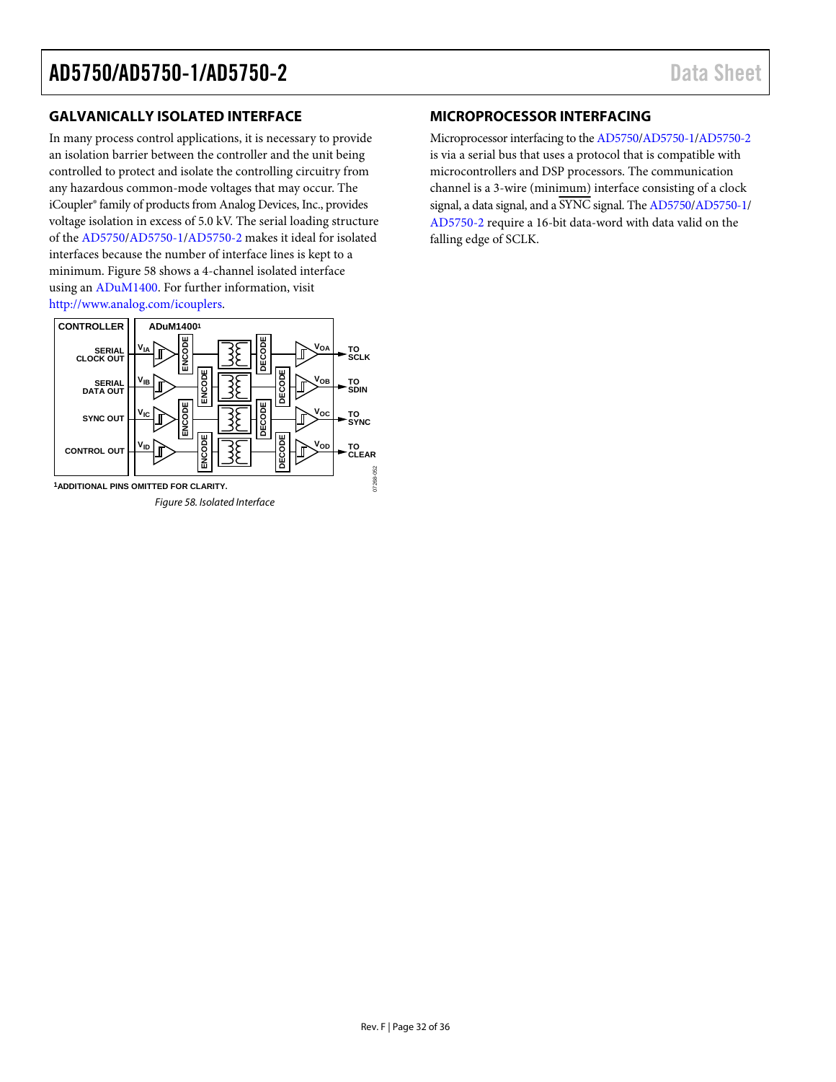#### <span id="page-31-0"></span>**GALVANICALLY ISOLATED INTERFACE**

In many process control applications, it is necessary to provide an isolation barrier between the controller and the unit being controlled to protect and isolate the controlling circuitry from any hazardous common-mode voltages that may occur. The iCoupler® family of products from Analog Devices, Inc., provides voltage isolation in excess of 5.0 kV. The serial loading structure of the [AD5750/](http://www.analog.com/AD5750?doc=AD5750_5750-1_5750-2.pdf)[AD5750-1](http://www.analog.com/AD5750-1?doc=AD5750_5750-1_5750-2.pdf)[/AD5750-2 m](http://www.analog.com/AD5750-2?doc=AD5750_5750-1_5750-2.pdf)akes it ideal for isolated interfaces because the number of interface lines is kept to a minimum. [Figure 58 s](#page-31-2)hows a 4-channel isolated interface using an [ADuM1400.](http://www.analog.com/ADUM1400?doc=AD5750_5750-1_5750-2.pdf) For further information, visit [http://www.analog.com/icouplers.](http://www.analog.com/icouplers?doc=AD5750_5750-1_5750-2.pdf) 

<span id="page-31-2"></span>

#### <span id="page-31-1"></span>**MICROPROCESSOR INTERFACING**

Microprocessor interfacing to th[e AD5750/](http://www.analog.com/AD5750?doc=AD5750_5750-1_5750-2.pdf)[AD5750-1/](http://www.analog.com/AD5750-1?doc=AD5750_5750-1_5750-2.pdf)[AD5750-2](http://www.analog.com/AD5750-2?doc=AD5750_5750-1_5750-2.pdf) is via a serial bus that uses a protocol that is compatible with microcontrollers and DSP processors. The communication channel is a 3-wire (minimum) interface consisting of a clock signal, a data signal, and a SYNC signal. The [AD5750/](http://www.analog.com/AD5750?doc=AD5750_5750-1_5750-2.pdf)[AD5750-1/](http://www.analog.com/AD5750-1?doc=AD5750_5750-1_5750-2.pdf) [AD5750-2 r](http://www.analog.com/AD5750-2?doc=AD5750_5750-1_5750-2.pdf)equire a 16-bit data-word with data valid on the falling edge of SCLK.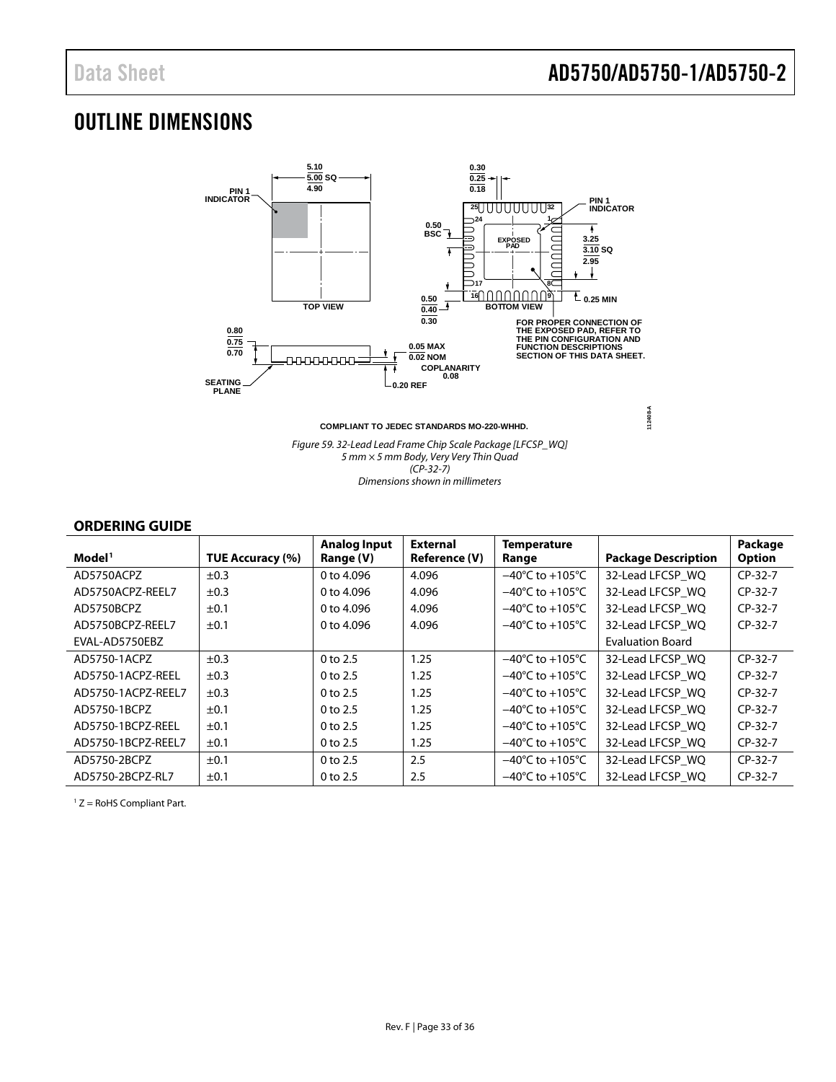### <span id="page-32-0"></span>OUTLINE DIMENSIONS



*Figure 59. 32-Lead Lead Frame Chip Scale Package [LFCSP\_WQ] 5 mm × 5 mm Body, Very Very Thin Quad (CP-32-7) Dimensions shown in millimeters*

#### <span id="page-32-1"></span>**ORDERING GUIDE**

|                    |                  | <b>Analog Input</b> | <b>External</b>      | <b>Temperature</b>                  |                            | Package       |
|--------------------|------------------|---------------------|----------------------|-------------------------------------|----------------------------|---------------|
| Model <sup>1</sup> | TUE Accuracy (%) | Range (V)           | <b>Reference (V)</b> | Range                               | <b>Package Description</b> | <b>Option</b> |
| AD5750ACPZ         | $\pm 0.3$        | 0 to 4,096          | 4.096                | $-40^{\circ}$ C to $+105^{\circ}$ C | 32-Lead LFCSP WO           | $CP-32-7$     |
| AD5750ACPZ-REEL7   | ±0.3             | 0 to 4,096          | 4.096                | $-40^{\circ}$ C to $+105^{\circ}$ C | 32-Lead LFCSP WO           | $CP-32-7$     |
| AD5750BCPZ         | ±0.1             | 0 to 4.096          | 4.096                | $-40^{\circ}$ C to $+105^{\circ}$ C | 32-Lead LFCSP WQ           | $CP-32-7$     |
| AD5750BCPZ-REEL7   | ±0.1             | 0 to 4.096          | 4.096                | $-40^{\circ}$ C to $+105^{\circ}$ C | 32-Lead LFCSP WO           | $CP-32-7$     |
| EVAL-AD5750EBZ     |                  |                     |                      |                                     | <b>Evaluation Board</b>    |               |
| AD5750-1ACPZ       | ±0.3             | $0$ to $2.5$        | 1.25                 | $-40^{\circ}$ C to $+105^{\circ}$ C | 32-Lead LFCSP_WQ           | $CP-32-7$     |
| AD5750-1ACPZ-REEL  | ±0.3             | $0$ to $2.5$        | 1.25                 | $-40^{\circ}$ C to $+105^{\circ}$ C | 32-Lead LFCSP WO           | $CP-32-7$     |
| AD5750-1ACPZ-REEL7 | ±0.3             | $0$ to $2.5$        | 1.25                 | $-40^{\circ}$ C to $+105^{\circ}$ C | 32-Lead LFCSP WQ           | $CP-32-7$     |
| AD5750-1BCPZ       | $\pm 0.1$        | $0$ to $2.5$        | 1.25                 | $-40^{\circ}$ C to $+105^{\circ}$ C | 32-Lead LFCSP WQ           | $CP-32-7$     |
| AD5750-1BCPZ-REEL  | $\pm 0.1$        | $0$ to $2.5$        | 1.25                 | $-40^{\circ}$ C to $+105^{\circ}$ C | 32-Lead LFCSP WO           | $CP-32-7$     |
| AD5750-1BCPZ-REEL7 | ±0.1             | $0$ to 2.5          | 1.25                 | $-40^{\circ}$ C to $+105^{\circ}$ C | 32-Lead LFCSP WQ           | $CP-32-7$     |
| AD5750-2BCPZ       | ±0.1             | $0$ to $2.5$        | 2.5                  | $-40^{\circ}$ C to $+105^{\circ}$ C | 32-Lead LFCSP WO           | $CP-32-7$     |
| AD5750-2BCPZ-RL7   | ±0.1             | $0$ to 2.5          | 2.5                  | $-40^{\circ}$ C to $+105^{\circ}$ C | 32-Lead LFCSP WO           | $CP-32-7$     |

<sup>1</sup> Z = RoHS Compliant Part.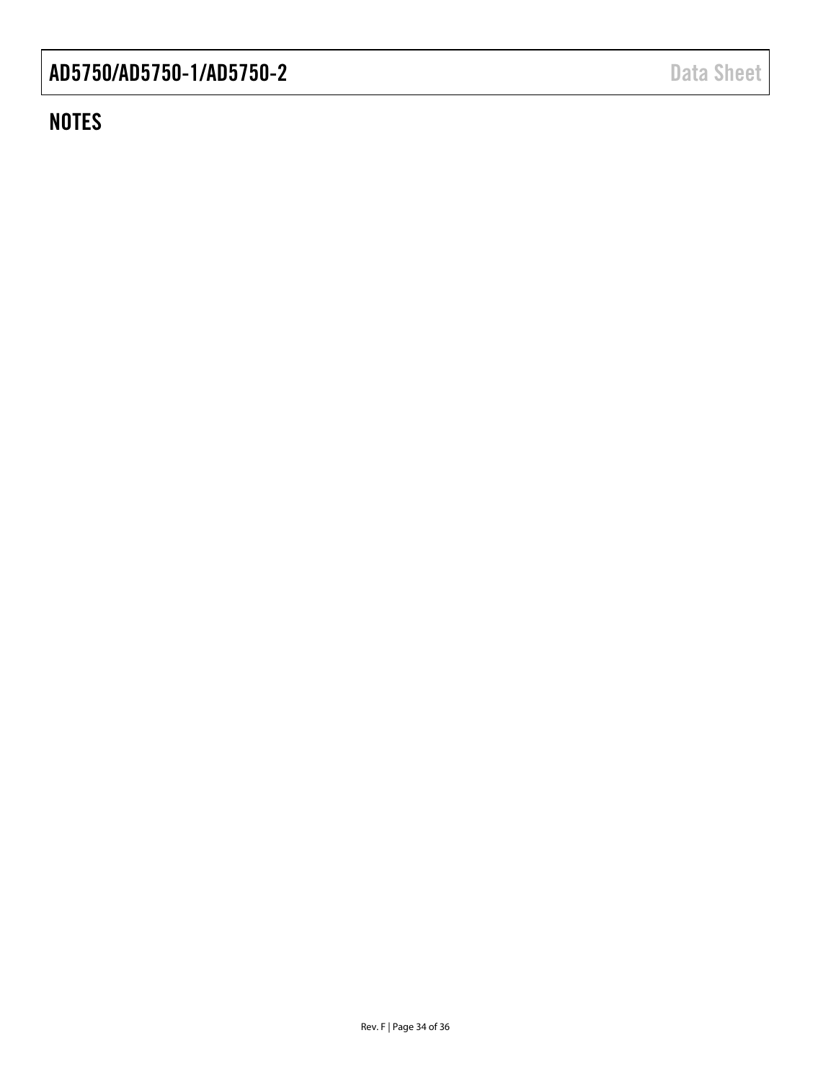### **NOTES**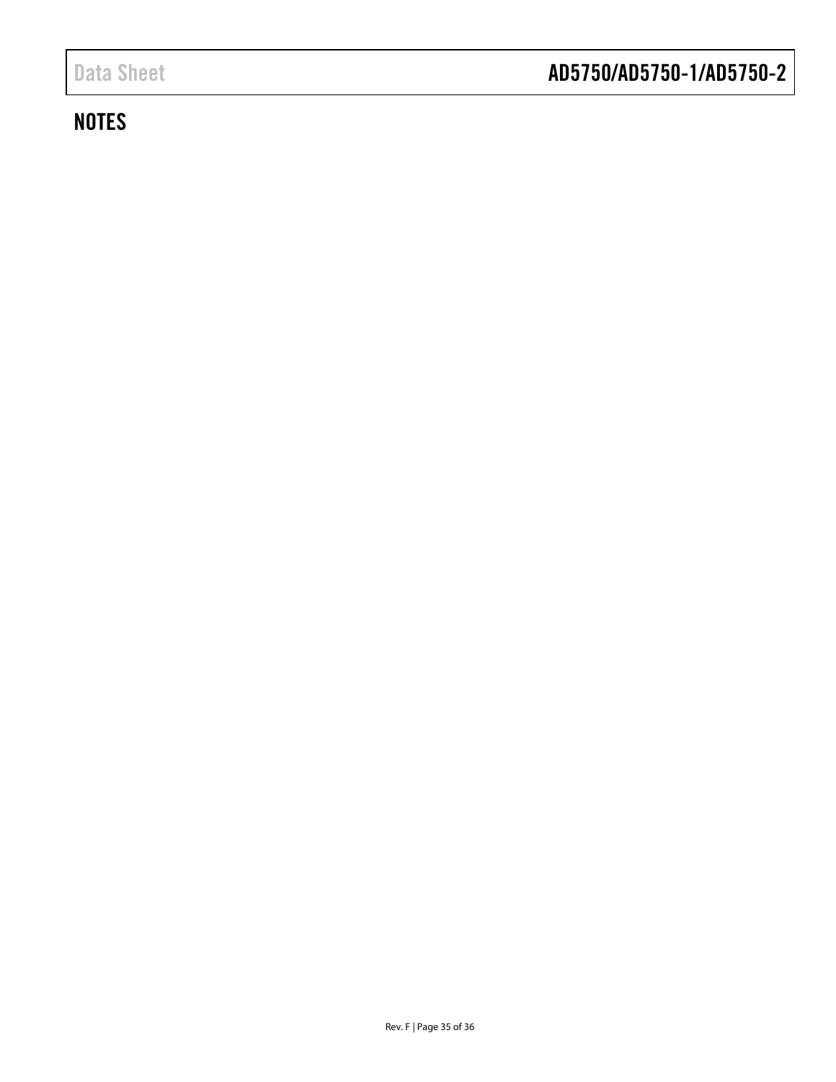### **NOTES**